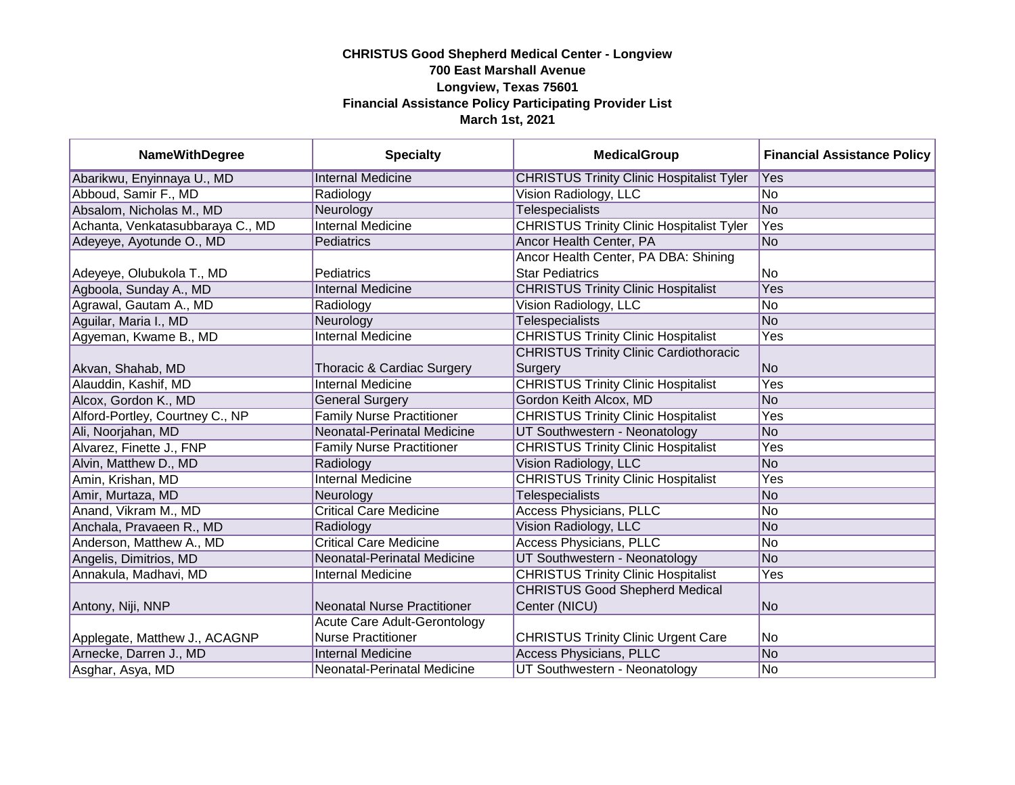| <b>NameWithDegree</b>            | <b>Specialty</b>                   | <b>MedicalGroup</b>                              | <b>Financial Assistance Policy</b> |
|----------------------------------|------------------------------------|--------------------------------------------------|------------------------------------|
| Abarikwu, Enyinnaya U., MD       | <b>Internal Medicine</b>           | <b>CHRISTUS Trinity Clinic Hospitalist Tyler</b> | Yes                                |
| Abboud, Samir F., MD             | Radiology                          | Vision Radiology, LLC                            | No                                 |
| Absalom, Nicholas M., MD         | Neurology                          | <b>Telespecialists</b>                           | No                                 |
| Achanta, Venkatasubbaraya C., MD | <b>Internal Medicine</b>           | <b>CHRISTUS Trinity Clinic Hospitalist Tyler</b> | Yes                                |
| Adeyeye, Ayotunde O., MD         | Pediatrics                         | Ancor Health Center, PA                          | No                                 |
|                                  |                                    | Ancor Health Center, PA DBA: Shining             |                                    |
| Adeyeye, Olubukola T., MD        | Pediatrics                         | <b>Star Pediatrics</b>                           | No                                 |
| Agboola, Sunday A., MD           | <b>Internal Medicine</b>           | <b>CHRISTUS Trinity Clinic Hospitalist</b>       | Yes                                |
| Agrawal, Gautam A., MD           | Radiology                          | Vision Radiology, LLC                            | No                                 |
| Aguilar, Maria I., MD            | Neurology                          | <b>Telespecialists</b>                           | No                                 |
| Agyeman, Kwame B., MD            | <b>Internal Medicine</b>           | <b>CHRISTUS Trinity Clinic Hospitalist</b>       | Yes                                |
|                                  |                                    | <b>CHRISTUS Trinity Clinic Cardiothoracic</b>    |                                    |
| Akvan, Shahab, MD                | Thoracic & Cardiac Surgery         | Surgery                                          | No                                 |
| Alauddin, Kashif, MD             | <b>Internal Medicine</b>           | <b>CHRISTUS Trinity Clinic Hospitalist</b>       | Yes                                |
| Alcox, Gordon K., MD             | <b>General Surgery</b>             | Gordon Keith Alcox, MD                           | No                                 |
| Alford-Portley, Courtney C., NP  | <b>Family Nurse Practitioner</b>   | <b>CHRISTUS Trinity Clinic Hospitalist</b>       | Yes                                |
| Ali, Noorjahan, MD               | Neonatal-Perinatal Medicine        | UT Southwestern - Neonatology                    | No                                 |
| Alvarez, Finette J., FNP         | <b>Family Nurse Practitioner</b>   | <b>CHRISTUS Trinity Clinic Hospitalist</b>       | Yes                                |
| Alvin, Matthew D., MD            | Radiology                          | Vision Radiology, LLC                            | No                                 |
| Amin, Krishan, MD                | <b>Internal Medicine</b>           | <b>CHRISTUS Trinity Clinic Hospitalist</b>       | Yes                                |
| Amir, Murtaza, MD                | Neurology                          | <b>Telespecialists</b>                           | No                                 |
| Anand, Vikram M., MD             | <b>Critical Care Medicine</b>      | <b>Access Physicians, PLLC</b>                   | No                                 |
| Anchala, Pravaeen R., MD         | Radiology                          | Vision Radiology, LLC                            | No                                 |
| Anderson, Matthew A., MD         | <b>Critical Care Medicine</b>      | <b>Access Physicians, PLLC</b>                   | No                                 |
| Angelis, Dimitrios, MD           | Neonatal-Perinatal Medicine        | UT Southwestern - Neonatology                    | No                                 |
| Annakula, Madhavi, MD            | <b>Internal Medicine</b>           | <b>CHRISTUS Trinity Clinic Hospitalist</b>       | Yes                                |
|                                  |                                    | <b>CHRISTUS Good Shepherd Medical</b>            |                                    |
| Antony, Niji, NNP                | <b>Neonatal Nurse Practitioner</b> | Center (NICU)                                    | <b>No</b>                          |
|                                  | Acute Care Adult-Gerontology       |                                                  |                                    |
| Applegate, Matthew J., ACAGNP    | <b>Nurse Practitioner</b>          | <b>CHRISTUS Trinity Clinic Urgent Care</b>       | No                                 |
| Arnecke, Darren J., MD           | <b>Internal Medicine</b>           | <b>Access Physicians, PLLC</b>                   | No                                 |
| Asghar, Asya, MD                 | Neonatal-Perinatal Medicine        | UT Southwestern - Neonatology                    | No                                 |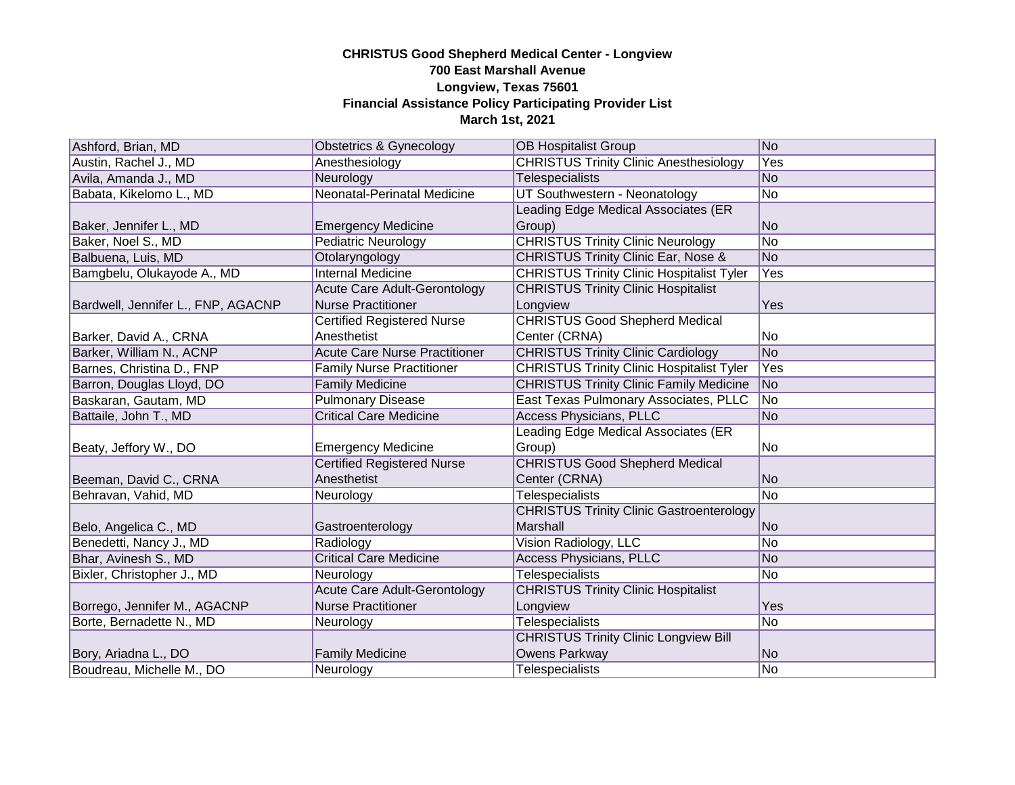| Ashford, Brian, MD                 | Obstetrics & Gynecology              | <b>OB Hospitalist Group</b>                      | No             |
|------------------------------------|--------------------------------------|--------------------------------------------------|----------------|
| Austin, Rachel J., MD              | Anesthesiology                       | <b>CHRISTUS Trinity Clinic Anesthesiology</b>    | Yes            |
| Avila, Amanda J., MD               | Neurology                            | Telespecialists                                  | No             |
| Babata, Kikelomo L., MD            | <b>Neonatal-Perinatal Medicine</b>   | UT Southwestern - Neonatology                    | No             |
|                                    |                                      | Leading Edge Medical Associates (ER              |                |
| Baker, Jennifer L., MD             | <b>Emergency Medicine</b>            | Group)                                           | No             |
| Baker, Noel S., MD                 | <b>Pediatric Neurology</b>           | <b>CHRISTUS Trinity Clinic Neurology</b>         | No             |
| Balbuena, Luis, MD                 | Otolaryngology                       | <b>CHRISTUS Trinity Clinic Ear, Nose &amp;</b>   | No             |
| Bamgbelu, Olukayode A., MD         | <b>Internal Medicine</b>             | <b>CHRISTUS Trinity Clinic Hospitalist Tyler</b> | Yes            |
|                                    | Acute Care Adult-Gerontology         | <b>CHRISTUS Trinity Clinic Hospitalist</b>       |                |
| Bardwell, Jennifer L., FNP, AGACNP | <b>Nurse Practitioner</b>            | Longview                                         | Yes            |
|                                    | <b>Certified Registered Nurse</b>    | <b>CHRISTUS Good Shepherd Medical</b>            |                |
| Barker, David A., CRNA             | Anesthetist                          | Center (CRNA)                                    | No.            |
| Barker, William N., ACNP           | <b>Acute Care Nurse Practitioner</b> | <b>CHRISTUS Trinity Clinic Cardiology</b>        | No             |
| Barnes, Christina D., FNP          | <b>Family Nurse Practitioner</b>     | <b>CHRISTUS Trinity Clinic Hospitalist Tyler</b> | Yes            |
| Barron, Douglas Lloyd, DO          | <b>Family Medicine</b>               | <b>CHRISTUS Trinity Clinic Family Medicine</b>   | No             |
| Baskaran, Gautam, MD               | <b>Pulmonary Disease</b>             | East Texas Pulmonary Associates, PLLC            | No             |
| Battaile, John T., MD              | <b>Critical Care Medicine</b>        | <b>Access Physicians, PLLC</b>                   | No             |
|                                    |                                      | Leading Edge Medical Associates (ER              |                |
| Beaty, Jeffory W., DO              | <b>Emergency Medicine</b>            | Group)                                           | lNo.           |
|                                    | <b>Certified Registered Nurse</b>    | <b>CHRISTUS Good Shepherd Medical</b>            |                |
| Beeman, David C., CRNA             | Anesthetist                          | Center (CRNA)                                    | N <sub>o</sub> |
| Behravan, Vahid, MD                | Neurology                            | Telespecialists                                  | No             |
|                                    |                                      | <b>CHRISTUS Trinity Clinic Gastroenterology</b>  |                |
| Belo, Angelica C., MD              | Gastroenterology                     | Marshall                                         | No             |
| Benedetti, Nancy J., MD            | Radiology                            | Vision Radiology, LLC                            | No             |
| Bhar, Avinesh S., MD               | <b>Critical Care Medicine</b>        | <b>Access Physicians, PLLC</b>                   | N <sub>o</sub> |
| Bixler, Christopher J., MD         | Neurology                            | <b>Telespecialists</b>                           | No             |
|                                    | <b>Acute Care Adult-Gerontology</b>  | <b>CHRISTUS Trinity Clinic Hospitalist</b>       |                |
| Borrego, Jennifer M., AGACNP       | <b>Nurse Practitioner</b>            | Longview                                         | Yes            |
| Borte, Bernadette N., MD           | Neurology                            | <b>Telespecialists</b>                           | No             |
|                                    |                                      | <b>CHRISTUS Trinity Clinic Longview Bill</b>     |                |
| Bory, Ariadna L., DO               | <b>Family Medicine</b>               | Owens Parkway                                    | No             |
| Boudreau, Michelle M., DO          | Neurology                            | <b>Telespecialists</b>                           | No             |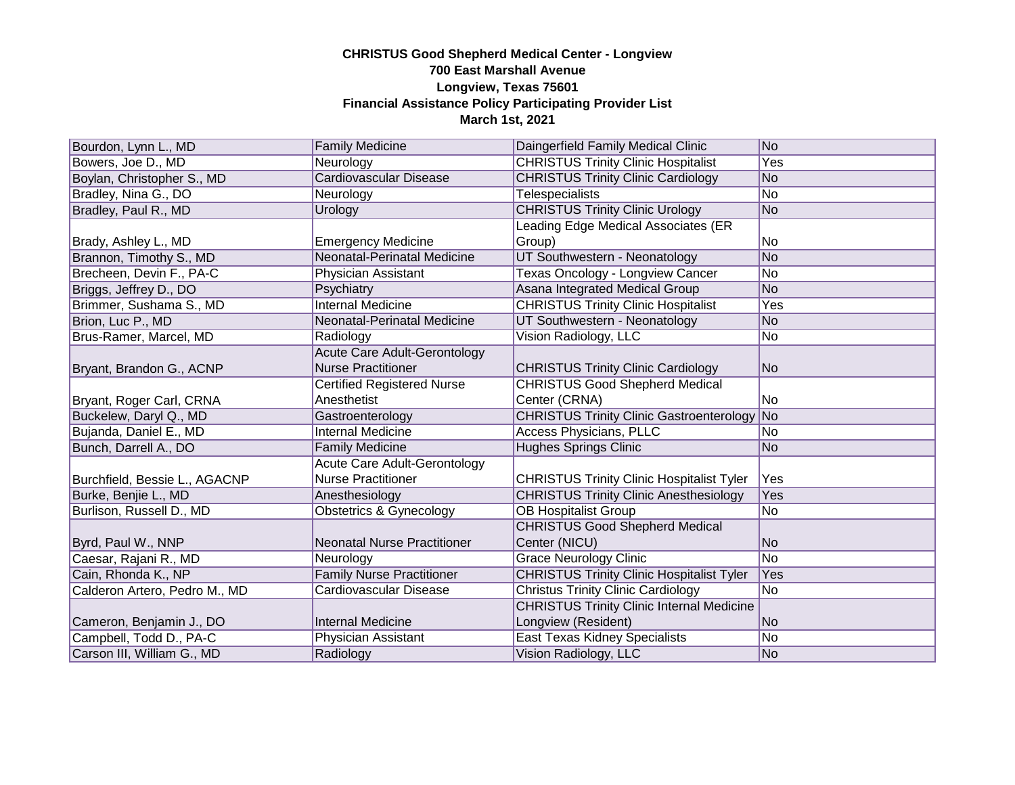| Bourdon, Lynn L., MD          | <b>Family Medicine</b>             | Daingerfield Family Medical Clinic                 | No             |
|-------------------------------|------------------------------------|----------------------------------------------------|----------------|
| Bowers, Joe D., MD            | Neurology                          | <b>CHRISTUS Trinity Clinic Hospitalist</b>         | Yes            |
| Boylan, Christopher S., MD    | <b>Cardiovascular Disease</b>      | <b>CHRISTUS Trinity Clinic Cardiology</b>          | No             |
| Bradley, Nina G., DO          | Neurology                          | <b>Telespecialists</b>                             | No.            |
| Bradley, Paul R., MD          | Urology                            | <b>CHRISTUS Trinity Clinic Urology</b>             | No             |
|                               |                                    | Leading Edge Medical Associates (ER                |                |
| Brady, Ashley L., MD          | <b>Emergency Medicine</b>          | Group)                                             | No             |
| Brannon, Timothy S., MD       | Neonatal-Perinatal Medicine        | UT Southwestern - Neonatology                      | No             |
| Brecheen, Devin F., PA-C      | Physician Assistant                | Texas Oncology - Longview Cancer                   | No             |
| Briggs, Jeffrey D., DO        | Psychiatry                         | Asana Integrated Medical Group                     | No             |
| Brimmer, Sushama S., MD       | <b>Internal Medicine</b>           | <b>CHRISTUS Trinity Clinic Hospitalist</b>         | Yes            |
| Brion, Luc P., MD             | Neonatal-Perinatal Medicine        | UT Southwestern - Neonatology                      | N <sub>o</sub> |
| Brus-Ramer, Marcel, MD        | Radiology                          | Vision Radiology, LLC                              | No             |
|                               | Acute Care Adult-Gerontology       |                                                    |                |
| Bryant, Brandon G., ACNP      | <b>Nurse Practitioner</b>          | <b>CHRISTUS Trinity Clinic Cardiology</b>          | No             |
|                               | <b>Certified Registered Nurse</b>  | <b>CHRISTUS Good Shepherd Medical</b>              |                |
| Bryant, Roger Carl, CRNA      | Anesthetist                        | Center (CRNA)                                      | No.            |
| Buckelew, Daryl Q., MD        | Gastroenterology                   | <b>CHRISTUS Trinity Clinic Gastroenterology No</b> |                |
| Bujanda, Daniel E., MD        | <b>Internal Medicine</b>           | <b>Access Physicians, PLLC</b>                     | No.            |
| Bunch, Darrell A., DO         | <b>Family Medicine</b>             | <b>Hughes Springs Clinic</b>                       | N <sub>o</sub> |
|                               | Acute Care Adult-Gerontology       |                                                    |                |
| Burchfield, Bessie L., AGACNP | <b>Nurse Practitioner</b>          | <b>CHRISTUS Trinity Clinic Hospitalist Tyler</b>   | Yes            |
| Burke, Benjie L., MD          | Anesthesiology                     | <b>CHRISTUS Trinity Clinic Anesthesiology</b>      | Yes            |
| Burlison, Russell D., MD      | <b>Obstetrics &amp; Gynecology</b> | <b>OB Hospitalist Group</b>                        | No             |
|                               |                                    | <b>CHRISTUS Good Shepherd Medical</b>              |                |
| Byrd, Paul W., NNP            | <b>Neonatal Nurse Practitioner</b> | Center (NICU)                                      | N <sub>o</sub> |
| Caesar, Rajani R., MD         | Neurology                          | <b>Grace Neurology Clinic</b>                      | No             |
| Cain, Rhonda K., NP           | <b>Family Nurse Practitioner</b>   | <b>CHRISTUS Trinity Clinic Hospitalist Tyler</b>   | Yes            |
| Calderon Artero, Pedro M., MD | <b>Cardiovascular Disease</b>      | <b>Christus Trinity Clinic Cardiology</b>          | <b>No</b>      |
|                               |                                    | <b>CHRISTUS Trinity Clinic Internal Medicine</b>   |                |
| Cameron, Benjamin J., DO      | <b>Internal Medicine</b>           | Longview (Resident)                                | No             |
| Campbell, Todd D., PA-C       | Physician Assistant                | East Texas Kidney Specialists                      | No             |
| Carson III, William G., MD    | Radiology                          | Vision Radiology, LLC                              | No             |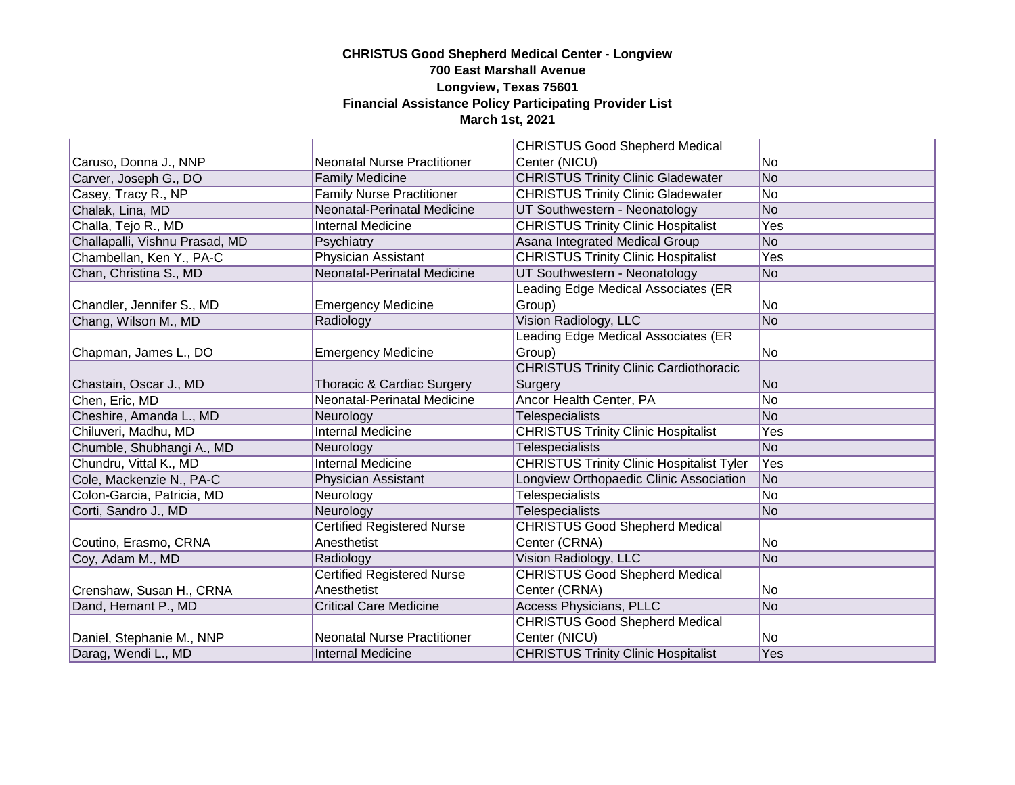|                                |                                    | <b>CHRISTUS Good Shepherd Medical</b>            |     |
|--------------------------------|------------------------------------|--------------------------------------------------|-----|
| Caruso, Donna J., NNP          | <b>Neonatal Nurse Practitioner</b> | Center (NICU)                                    | No  |
| Carver, Joseph G., DO          | <b>Family Medicine</b>             | <b>CHRISTUS Trinity Clinic Gladewater</b>        | No  |
| Casey, Tracy R., NP            | <b>Family Nurse Practitioner</b>   | <b>CHRISTUS Trinity Clinic Gladewater</b>        | No. |
| Chalak, Lina, MD               | Neonatal-Perinatal Medicine        | UT Southwestern - Neonatology                    | No  |
| Challa, Tejo R., MD            | <b>Internal Medicine</b>           | <b>CHRISTUS Trinity Clinic Hospitalist</b>       | Yes |
| Challapalli, Vishnu Prasad, MD | Psychiatry                         | Asana Integrated Medical Group                   | No  |
| Chambellan, Ken Y., PA-C       | <b>Physician Assistant</b>         | <b>CHRISTUS Trinity Clinic Hospitalist</b>       | Yes |
| Chan, Christina S., MD         | Neonatal-Perinatal Medicine        | UT Southwestern - Neonatology                    | No  |
|                                |                                    | Leading Edge Medical Associates (ER              |     |
| Chandler, Jennifer S., MD      | <b>Emergency Medicine</b>          | Group)                                           | No  |
| Chang, Wilson M., MD           | Radiology                          | Vision Radiology, LLC                            | No  |
|                                |                                    | Leading Edge Medical Associates (ER              |     |
| Chapman, James L., DO          | <b>Emergency Medicine</b>          | Group)                                           | No  |
|                                |                                    | <b>CHRISTUS Trinity Clinic Cardiothoracic</b>    |     |
| Chastain, Oscar J., MD         | Thoracic & Cardiac Surgery         | Surgery                                          | No. |
| Chen, Eric, MD                 | Neonatal-Perinatal Medicine        | Ancor Health Center, PA                          | No  |
| Cheshire, Amanda L., MD        | Neurology                          | Telespecialists                                  | No. |
| Chiluveri, Madhu, MD           | <b>Internal Medicine</b>           | <b>CHRISTUS Trinity Clinic Hospitalist</b>       | Yes |
| Chumble, Shubhangi A., MD      | Neurology                          | <b>Telespecialists</b>                           | No  |
| Chundru, Vittal K., MD         | <b>Internal Medicine</b>           | <b>CHRISTUS Trinity Clinic Hospitalist Tyler</b> | Yes |
| Cole, Mackenzie N., PA-C       | Physician Assistant                | Longview Orthopaedic Clinic Association          | No  |
| Colon-Garcia, Patricia, MD     | Neurology                          | <b>Telespecialists</b>                           | No  |
| Corti, Sandro J., MD           | Neurology                          | <b>Telespecialists</b>                           | No  |
|                                | <b>Certified Registered Nurse</b>  | <b>CHRISTUS Good Shepherd Medical</b>            |     |
| Coutino, Erasmo, CRNA          | Anesthetist                        | Center (CRNA)                                    | No  |
| Coy, Adam M., MD               | Radiology                          | Vision Radiology, LLC                            | No  |
|                                | <b>Certified Registered Nurse</b>  | <b>CHRISTUS Good Shepherd Medical</b>            |     |
| Crenshaw, Susan H., CRNA       | Anesthetist                        | Center (CRNA)                                    | No  |
| Dand, Hemant P., MD            | <b>Critical Care Medicine</b>      | <b>Access Physicians, PLLC</b>                   | No  |
|                                |                                    | <b>CHRISTUS Good Shepherd Medical</b>            |     |
| Daniel, Stephanie M., NNP      | <b>Neonatal Nurse Practitioner</b> | Center (NICU)                                    | No  |
| Darag, Wendi L., MD            | Internal Medicine                  | <b>CHRISTUS Trinity Clinic Hospitalist</b>       | Yes |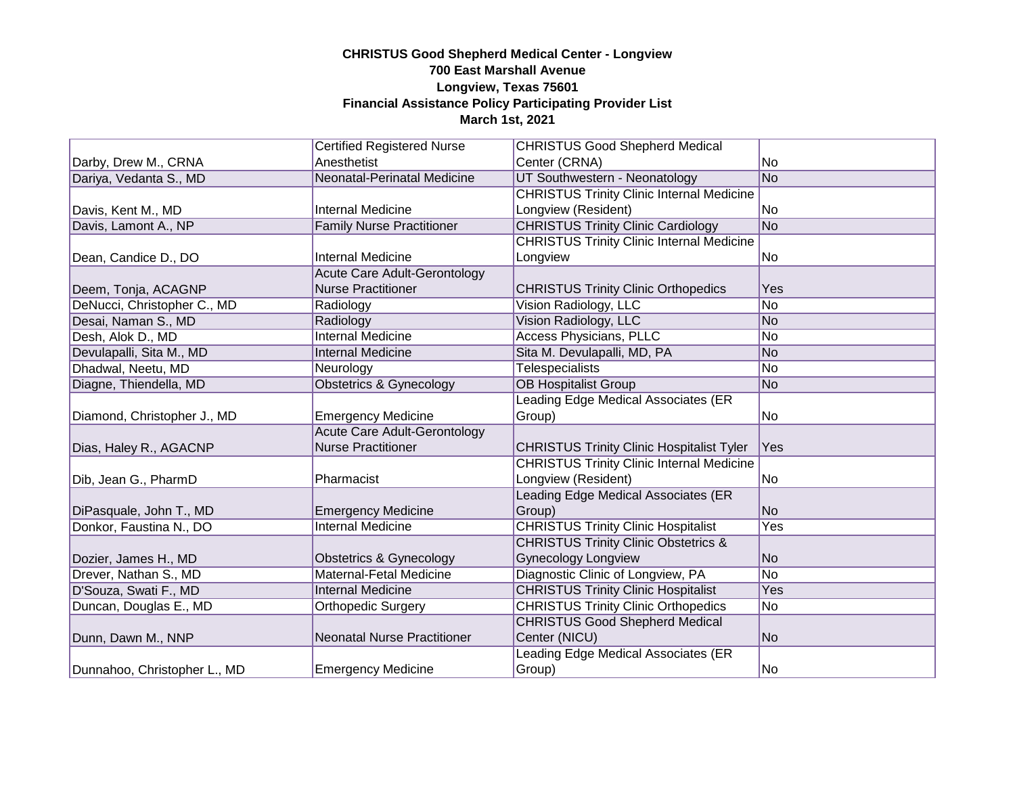|                              | <b>Certified Registered Nurse</b>   | <b>CHRISTUS Good Shepherd Medical</b>            |                |
|------------------------------|-------------------------------------|--------------------------------------------------|----------------|
| Darby, Drew M., CRNA         | Anesthetist                         | Center (CRNA)                                    | No.            |
| Dariya, Vedanta S., MD       | Neonatal-Perinatal Medicine         | UT Southwestern - Neonatology                    | No             |
|                              |                                     | <b>CHRISTUS Trinity Clinic Internal Medicine</b> |                |
| Davis, Kent M., MD           | <b>Internal Medicine</b>            | Longview (Resident)                              | No             |
| Davis, Lamont A., NP         | <b>Family Nurse Practitioner</b>    | <b>CHRISTUS Trinity Clinic Cardiology</b>        | No             |
|                              |                                     | <b>CHRISTUS Trinity Clinic Internal Medicine</b> |                |
| Dean, Candice D., DO         | <b>Internal Medicine</b>            | Longview                                         | No             |
|                              | <b>Acute Care Adult-Gerontology</b> |                                                  |                |
| Deem, Tonja, ACAGNP          | <b>Nurse Practitioner</b>           | <b>CHRISTUS Trinity Clinic Orthopedics</b>       | Yes            |
| DeNucci, Christopher C., MD  | Radiology                           | Vision Radiology, LLC                            | No             |
| Desai, Naman S., MD          | Radiology                           | Vision Radiology, LLC                            | N <sub>o</sub> |
| Desh, Alok D., MD            | <b>Internal Medicine</b>            | <b>Access Physicians, PLLC</b>                   | No             |
| Devulapalli, Sita M., MD     | <b>Internal Medicine</b>            | Sita M. Devulapalli, MD, PA                      | No             |
| Dhadwal, Neetu, MD           | Neurology                           | <b>Telespecialists</b>                           | No             |
| Diagne, Thiendella, MD       | Obstetrics & Gynecology             | <b>OB Hospitalist Group</b>                      | No             |
|                              |                                     | Leading Edge Medical Associates (ER              |                |
| Diamond, Christopher J., MD  | <b>Emergency Medicine</b>           | Group)                                           | No             |
|                              | <b>Acute Care Adult-Gerontology</b> |                                                  |                |
| Dias, Haley R., AGACNP       | <b>Nurse Practitioner</b>           | <b>CHRISTUS Trinity Clinic Hospitalist Tyler</b> | Yes            |
|                              |                                     | <b>CHRISTUS Trinity Clinic Internal Medicine</b> |                |
| Dib, Jean G., PharmD         | Pharmacist                          | Longview (Resident)                              | No             |
|                              |                                     | Leading Edge Medical Associates (ER              |                |
| DiPasquale, John T., MD      | <b>Emergency Medicine</b>           | Group)                                           | N <sub>o</sub> |
| Donkor, Faustina N., DO      | <b>Internal Medicine</b>            | <b>CHRISTUS Trinity Clinic Hospitalist</b>       | Yes            |
|                              |                                     | <b>CHRISTUS Trinity Clinic Obstetrics &amp;</b>  |                |
| Dozier, James H., MD         | Obstetrics & Gynecology             | <b>Gynecology Longview</b>                       | No             |
| Drever, Nathan S., MD        | Maternal-Fetal Medicine             | Diagnostic Clinic of Longview, PA                | No             |
| D'Souza, Swati F., MD        | <b>Internal Medicine</b>            | <b>CHRISTUS Trinity Clinic Hospitalist</b>       | Yes            |
| Duncan, Douglas E., MD       | <b>Orthopedic Surgery</b>           | <b>CHRISTUS Trinity Clinic Orthopedics</b>       | No             |
|                              |                                     | <b>CHRISTUS Good Shepherd Medical</b>            |                |
| Dunn, Dawn M., NNP           | <b>Neonatal Nurse Practitioner</b>  | Center (NICU)                                    | No             |
|                              |                                     | Leading Edge Medical Associates (ER              |                |
| Dunnahoo, Christopher L., MD | <b>Emergency Medicine</b>           | Group)                                           | No             |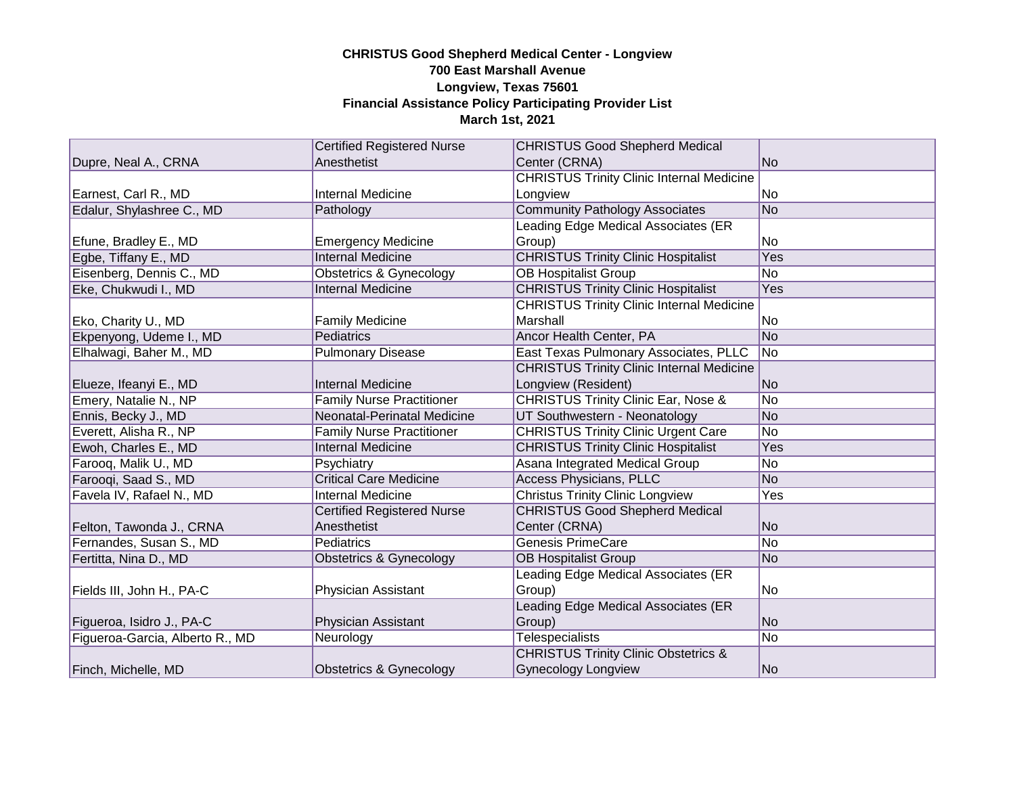|                                 | <b>Certified Registered Nurse</b>  | <b>CHRISTUS Good Shepherd Medical</b>            |                |
|---------------------------------|------------------------------------|--------------------------------------------------|----------------|
| Dupre, Neal A., CRNA            | Anesthetist                        | Center (CRNA)                                    | No.            |
|                                 |                                    | <b>CHRISTUS Trinity Clinic Internal Medicine</b> |                |
| Earnest, Carl R., MD            | <b>Internal Medicine</b>           | Longview                                         | No             |
| Edalur, Shylashree C., MD       | Pathology                          | <b>Community Pathology Associates</b>            | No             |
|                                 |                                    | Leading Edge Medical Associates (ER              |                |
| Efune, Bradley E., MD           | <b>Emergency Medicine</b>          | Group)                                           | No.            |
| Egbe, Tiffany E., MD            | <b>Internal Medicine</b>           | <b>CHRISTUS Trinity Clinic Hospitalist</b>       | Yes            |
| Eisenberg, Dennis C., MD        | <b>Obstetrics &amp; Gynecology</b> | <b>OB Hospitalist Group</b>                      | No             |
| Eke, Chukwudi I., MD            | <b>Internal Medicine</b>           | <b>CHRISTUS Trinity Clinic Hospitalist</b>       | Yes            |
|                                 |                                    | <b>CHRISTUS Trinity Clinic Internal Medicine</b> |                |
| Eko, Charity U., MD             | <b>Family Medicine</b>             | Marshall                                         | lNo            |
| Ekpenyong, Udeme I., MD         | Pediatrics                         | Ancor Health Center, PA                          | No             |
| Elhalwagi, Baher M., MD         | <b>Pulmonary Disease</b>           | East Texas Pulmonary Associates, PLLC            | No             |
|                                 |                                    | <b>CHRISTUS Trinity Clinic Internal Medicine</b> |                |
| Elueze, Ifeanyi E., MD          | <b>Internal Medicine</b>           | Longview (Resident)                              | No             |
| Emery, Natalie N., NP           | <b>Family Nurse Practitioner</b>   | <b>CHRISTUS Trinity Clinic Ear, Nose &amp;</b>   | No             |
| Ennis, Becky J., MD             | Neonatal-Perinatal Medicine        | UT Southwestern - Neonatology                    | No             |
| Everett, Alisha R., NP          | <b>Family Nurse Practitioner</b>   | <b>CHRISTUS Trinity Clinic Urgent Care</b>       | No             |
| Ewoh, Charles E., MD            | <b>Internal Medicine</b>           | <b>CHRISTUS Trinity Clinic Hospitalist</b>       | Yes            |
| Farooq, Malik U., MD            | Psychiatry                         | Asana Integrated Medical Group                   | No             |
| Farooqi, Saad S., MD            | <b>Critical Care Medicine</b>      | <b>Access Physicians, PLLC</b>                   | No             |
| Favela IV, Rafael N., MD        | <b>Internal Medicine</b>           | <b>Christus Trinity Clinic Longview</b>          | Yes            |
|                                 | <b>Certified Registered Nurse</b>  | <b>CHRISTUS Good Shepherd Medical</b>            |                |
| Felton, Tawonda J., CRNA        | Anesthetist                        | Center (CRNA)                                    | N <sub>o</sub> |
| Fernandes, Susan S., MD         | <b>Pediatrics</b>                  | <b>Genesis PrimeCare</b>                         | No             |
| Fertitta, Nina D., MD           | Obstetrics & Gynecology            | <b>OB Hospitalist Group</b>                      | No             |
|                                 |                                    | Leading Edge Medical Associates (ER              |                |
| Fields III, John H., PA-C       | Physician Assistant                | Group)                                           | No.            |
|                                 |                                    | Leading Edge Medical Associates (ER              |                |
| Figueroa, Isidro J., PA-C       | Physician Assistant                | Group)                                           | No             |
| Figueroa-Garcia, Alberto R., MD | Neurology                          | <b>Telespecialists</b>                           | No.            |
|                                 |                                    | <b>CHRISTUS Trinity Clinic Obstetrics &amp;</b>  |                |
| Finch, Michelle, MD             | Obstetrics & Gynecology            | <b>Gynecology Longview</b>                       | No             |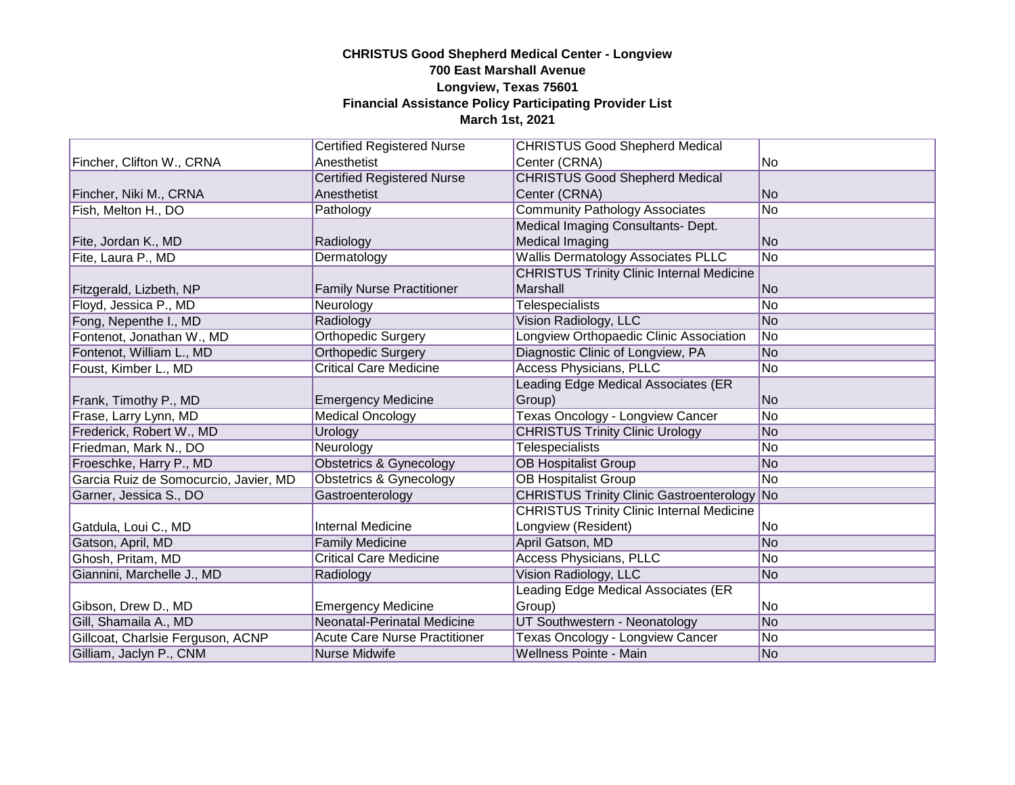|                                       | <b>Certified Registered Nurse</b>    | <b>CHRISTUS Good Shepherd Medical</b>              |                 |
|---------------------------------------|--------------------------------------|----------------------------------------------------|-----------------|
| Fincher, Clifton W., CRNA             | Anesthetist                          | Center (CRNA)                                      | No              |
|                                       | <b>Certified Registered Nurse</b>    | <b>CHRISTUS Good Shepherd Medical</b>              |                 |
| Fincher, Niki M., CRNA                | Anesthetist                          | Center (CRNA)                                      | No              |
| Fish, Melton H., DO                   | Pathology                            | <b>Community Pathology Associates</b>              | No              |
|                                       |                                      | Medical Imaging Consultants- Dept.                 |                 |
| Fite, Jordan K., MD                   | Radiology                            | <b>Medical Imaging</b>                             | <b>No</b>       |
| Fite, Laura P., MD                    | Dermatology                          | <b>Wallis Dermatology Associates PLLC</b>          | $\overline{No}$ |
|                                       |                                      | <b>CHRISTUS Trinity Clinic Internal Medicine</b>   |                 |
| Fitzgerald, Lizbeth, NP               | <b>Family Nurse Practitioner</b>     | Marshall                                           | N <sub>o</sub>  |
| Floyd, Jessica P., MD                 | Neurology                            | <b>Telespecialists</b>                             | No              |
| Fong, Nepenthe I., MD                 | Radiology                            | Vision Radiology, LLC                              | <b>No</b>       |
| Fontenot, Jonathan W., MD             | <b>Orthopedic Surgery</b>            | Longview Orthopaedic Clinic Association            | No              |
| Fontenot, William L., MD              | <b>Orthopedic Surgery</b>            | Diagnostic Clinic of Longview, PA                  | N <sub>o</sub>  |
| Foust, Kimber L., MD                  | <b>Critical Care Medicine</b>        | <b>Access Physicians, PLLC</b>                     | No              |
|                                       |                                      | Leading Edge Medical Associates (ER                |                 |
| Frank, Timothy P., MD                 | <b>Emergency Medicine</b>            | Group)                                             | <b>No</b>       |
| Frase, Larry Lynn, MD                 | <b>Medical Oncology</b>              | Texas Oncology - Longview Cancer                   | $\overline{No}$ |
| Frederick, Robert W., MD              | Urology                              | <b>CHRISTUS Trinity Clinic Urology</b>             | <b>No</b>       |
| Friedman, Mark N., DO                 | Neurology                            | Telespecialists                                    | No              |
| Froeschke, Harry P., MD               | Obstetrics & Gynecology              | <b>OB Hospitalist Group</b>                        | <b>No</b>       |
| Garcia Ruiz de Somocurcio, Javier, MD | Obstetrics & Gynecology              | <b>OB Hospitalist Group</b>                        | N <sub>o</sub>  |
| Garner, Jessica S., DO                | Gastroenterology                     | <b>CHRISTUS Trinity Clinic Gastroenterology No</b> |                 |
|                                       |                                      | <b>CHRISTUS Trinity Clinic Internal Medicine</b>   |                 |
| Gatdula, Loui C., MD                  | <b>Internal Medicine</b>             | Longview (Resident)                                | No.             |
| Gatson, April, MD                     | <b>Family Medicine</b>               | April Gatson, MD                                   | N <sub>o</sub>  |
| Ghosh, Pritam, MD                     | <b>Critical Care Medicine</b>        | Access Physicians, PLLC                            | No              |
| Giannini, Marchelle J., MD            | Radiology                            | Vision Radiology, LLC                              | No              |
|                                       |                                      | Leading Edge Medical Associates (ER                |                 |
| Gibson, Drew D., MD                   | <b>Emergency Medicine</b>            | Group)                                             | No              |
| Gill, Shamaila A., MD                 | Neonatal-Perinatal Medicine          | UT Southwestern - Neonatology                      | No              |
| Gillcoat, Charlsie Ferguson, ACNP     | <b>Acute Care Nurse Practitioner</b> | Texas Oncology - Longview Cancer                   | No              |
| Gilliam, Jaclyn P., CNM               | Nurse Midwife                        | Wellness Pointe - Main                             | No              |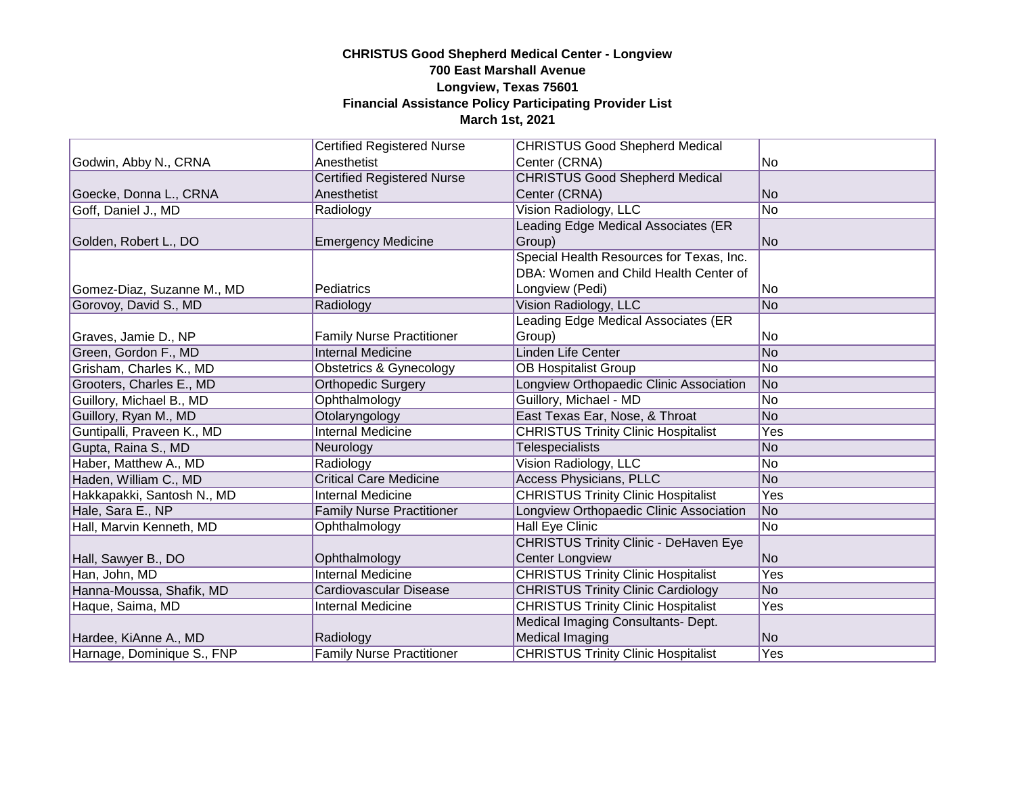|                            | <b>Certified Registered Nurse</b> | <b>CHRISTUS Good Shepherd Medical</b>        |                |
|----------------------------|-----------------------------------|----------------------------------------------|----------------|
| Godwin, Abby N., CRNA      | Anesthetist                       | Center (CRNA)                                | No             |
|                            | <b>Certified Registered Nurse</b> | <b>CHRISTUS Good Shepherd Medical</b>        |                |
| Goecke, Donna L., CRNA     | Anesthetist                       | Center (CRNA)                                | No             |
| Goff, Daniel J., MD        | Radiology                         | Vision Radiology, LLC                        | No             |
|                            |                                   | Leading Edge Medical Associates (ER          |                |
| Golden, Robert L., DO      | <b>Emergency Medicine</b>         | Group)                                       | No             |
|                            |                                   | Special Health Resources for Texas, Inc.     |                |
|                            |                                   | DBA: Women and Child Health Center of        |                |
| Gomez-Diaz, Suzanne M., MD | Pediatrics                        | Longview (Pedi)                              | No             |
| Gorovoy, David S., MD      | Radiology                         | Vision Radiology, LLC                        | No             |
|                            |                                   | Leading Edge Medical Associates (ER          |                |
| Graves, Jamie D., NP       | <b>Family Nurse Practitioner</b>  | Group)                                       | No             |
| Green, Gordon F., MD       | <b>Internal Medicine</b>          | Linden Life Center                           | No             |
| Grisham, Charles K., MD    | Obstetrics & Gynecology           | <b>OB Hospitalist Group</b>                  | No             |
| Grooters, Charles E., MD   | <b>Orthopedic Surgery</b>         | Longview Orthopaedic Clinic Association      | No             |
| Guillory, Michael B., MD   | Ophthalmology                     | Guillory, Michael - MD                       | No             |
| Guillory, Ryan M., MD      | Otolaryngology                    | East Texas Ear, Nose, & Throat               | <b>No</b>      |
| Guntipalli, Praveen K., MD | <b>Internal Medicine</b>          | <b>CHRISTUS Trinity Clinic Hospitalist</b>   | Yes            |
| Gupta, Raina S., MD        | Neurology                         | <b>Telespecialists</b>                       | No             |
| Haber, Matthew A., MD      | Radiology                         | Vision Radiology, LLC                        | No             |
| Haden, William C., MD      | <b>Critical Care Medicine</b>     | <b>Access Physicians, PLLC</b>               | No             |
| Hakkapakki, Santosh N., MD | <b>Internal Medicine</b>          | <b>CHRISTUS Trinity Clinic Hospitalist</b>   | Yes            |
| Hale, Sara E., NP          | <b>Family Nurse Practitioner</b>  | Longview Orthopaedic Clinic Association      | No             |
| Hall, Marvin Kenneth, MD   | Ophthalmology                     | Hall Eye Clinic                              | No             |
|                            |                                   | <b>CHRISTUS Trinity Clinic - DeHaven Eye</b> |                |
| Hall, Sawyer B., DO        | Ophthalmology                     | Center Longview                              | No             |
| Han, John, MD              | <b>Internal Medicine</b>          | <b>CHRISTUS Trinity Clinic Hospitalist</b>   | Yes            |
| Hanna-Moussa, Shafik, MD   | Cardiovascular Disease            | <b>CHRISTUS Trinity Clinic Cardiology</b>    | N <sub>o</sub> |
| Haque, Saima, MD           | <b>Internal Medicine</b>          | <b>CHRISTUS Trinity Clinic Hospitalist</b>   | Yes            |
|                            |                                   | Medical Imaging Consultants- Dept.           |                |
| Hardee, KiAnne A., MD      | Radiology                         | Medical Imaging                              | No             |
| Harnage, Dominique S., FNP | <b>Family Nurse Practitioner</b>  | <b>CHRISTUS Trinity Clinic Hospitalist</b>   | Yes            |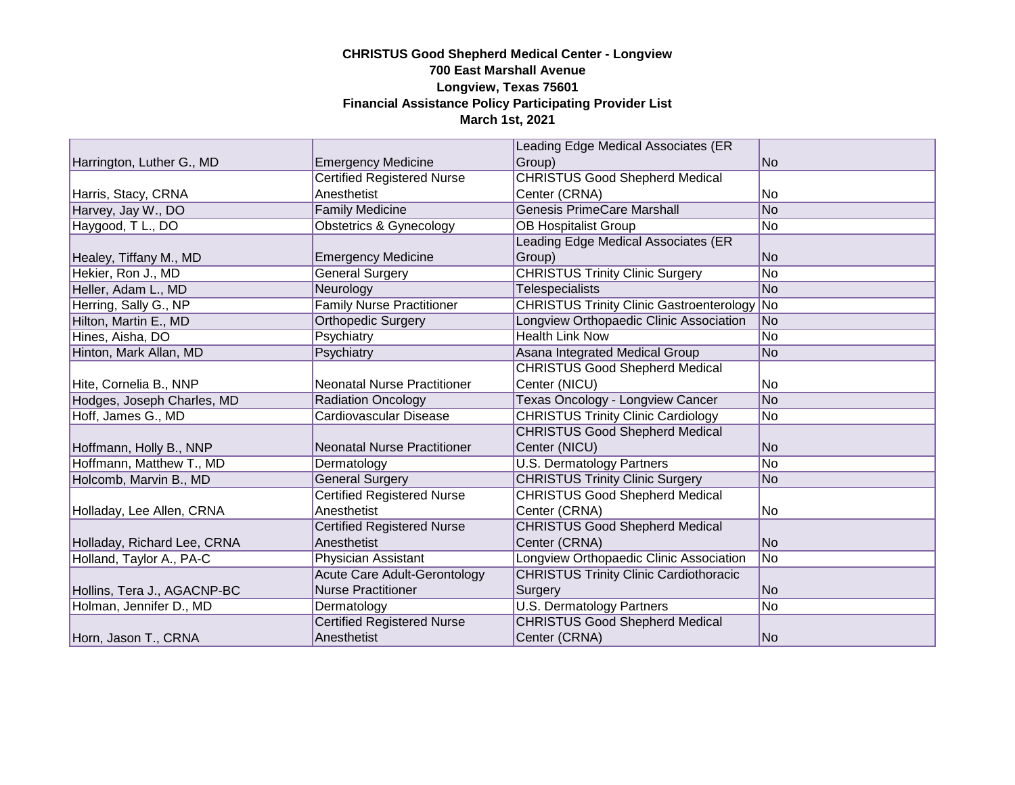|                             |                                     | Leading Edge Medical Associates (ER                |                |
|-----------------------------|-------------------------------------|----------------------------------------------------|----------------|
| Harrington, Luther G., MD   | <b>Emergency Medicine</b>           | Group)                                             | N <sub>o</sub> |
|                             | <b>Certified Registered Nurse</b>   | <b>CHRISTUS Good Shepherd Medical</b>              |                |
| Harris, Stacy, CRNA         | Anesthetist                         | Center (CRNA)                                      | No             |
| Harvey, Jay W., DO          | <b>Family Medicine</b>              | <b>Genesis PrimeCare Marshall</b>                  | No             |
| Haygood, T L., DO           | Obstetrics & Gynecology             | <b>OB Hospitalist Group</b>                        | No             |
|                             |                                     | Leading Edge Medical Associates (ER                |                |
| Healey, Tiffany M., MD      | <b>Emergency Medicine</b>           | Group)                                             | <b>No</b>      |
| Hekier, Ron J., MD          | <b>General Surgery</b>              | <b>CHRISTUS Trinity Clinic Surgery</b>             | No             |
| Heller, Adam L., MD         | Neurology                           | <b>Telespecialists</b>                             | No             |
| Herring, Sally G., NP       | <b>Family Nurse Practitioner</b>    | <b>CHRISTUS Trinity Clinic Gastroenterology No</b> |                |
| Hilton, Martin E., MD       | <b>Orthopedic Surgery</b>           | Longview Orthopaedic Clinic Association            | No             |
| Hines, Aisha, DO            | Psychiatry                          | <b>Health Link Now</b>                             | No             |
| Hinton, Mark Allan, MD      | Psychiatry                          | Asana Integrated Medical Group                     | No             |
|                             |                                     | <b>CHRISTUS Good Shepherd Medical</b>              |                |
| Hite, Cornelia B., NNP      | <b>Neonatal Nurse Practitioner</b>  | Center (NICU)                                      | No             |
| Hodges, Joseph Charles, MD  | <b>Radiation Oncology</b>           | Texas Oncology - Longview Cancer                   | No             |
| Hoff, James G., MD          | Cardiovascular Disease              | <b>CHRISTUS Trinity Clinic Cardiology</b>          | No             |
|                             |                                     | <b>CHRISTUS Good Shepherd Medical</b>              |                |
| Hoffmann, Holly B., NNP     | <b>Neonatal Nurse Practitioner</b>  | Center (NICU)                                      | N <sub>o</sub> |
| Hoffmann, Matthew T., MD    | Dermatology                         | <b>U.S. Dermatology Partners</b>                   | No             |
| Holcomb, Marvin B., MD      | <b>General Surgery</b>              | <b>CHRISTUS Trinity Clinic Surgery</b>             | No             |
|                             | <b>Certified Registered Nurse</b>   | <b>CHRISTUS Good Shepherd Medical</b>              |                |
| Holladay, Lee Allen, CRNA   | Anesthetist                         | Center (CRNA)                                      | No             |
|                             | <b>Certified Registered Nurse</b>   | <b>CHRISTUS Good Shepherd Medical</b>              |                |
| Holladay, Richard Lee, CRNA | Anesthetist                         | Center (CRNA)                                      | No             |
| Holland, Taylor A., PA-C    | Physician Assistant                 | Longview Orthopaedic Clinic Association            | No             |
|                             | <b>Acute Care Adult-Gerontology</b> | <b>CHRISTUS Trinity Clinic Cardiothoracic</b>      |                |
| Hollins, Tera J., AGACNP-BC | <b>Nurse Practitioner</b>           | Surgery                                            | No             |
| Holman, Jennifer D., MD     | Dermatology                         | <b>U.S. Dermatology Partners</b>                   | N <sub>o</sub> |
|                             | <b>Certified Registered Nurse</b>   | <b>CHRISTUS Good Shepherd Medical</b>              |                |
| Horn, Jason T., CRNA        | Anesthetist                         | Center (CRNA)                                      | No             |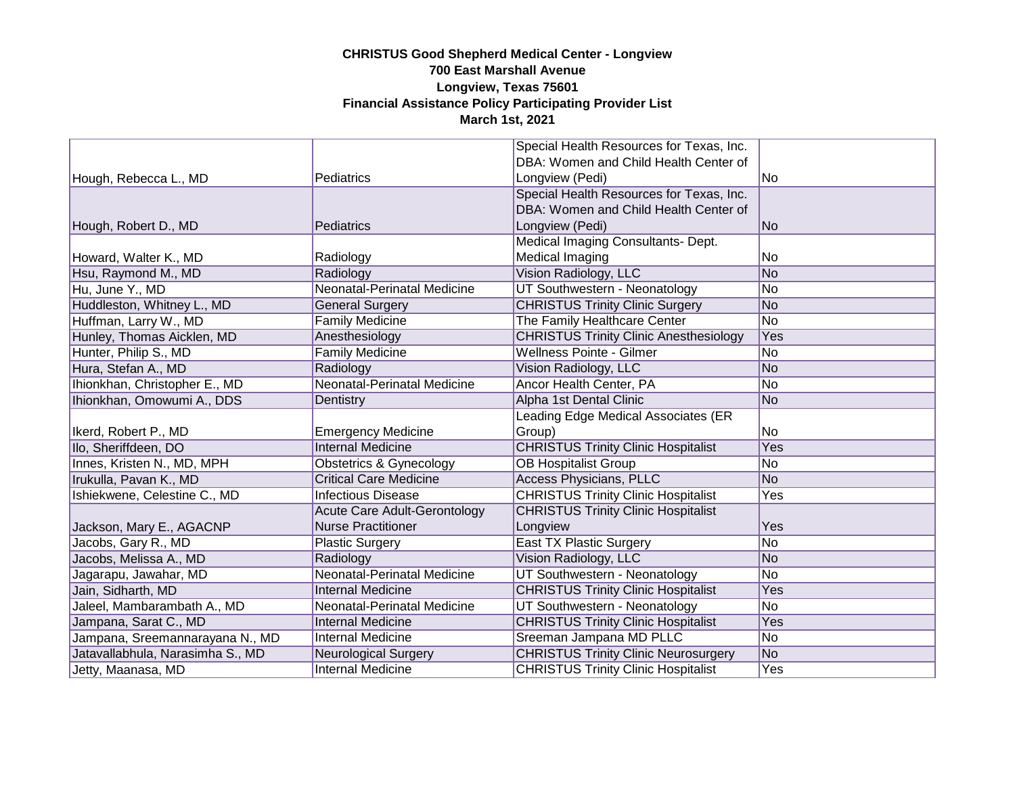|                                  |                                     | Special Health Resources for Texas, Inc.                                                  |     |
|----------------------------------|-------------------------------------|-------------------------------------------------------------------------------------------|-----|
|                                  |                                     | DBA: Women and Child Health Center of                                                     |     |
| Hough, Rebecca L., MD            | Pediatrics                          | Longview (Pedi)                                                                           | No  |
|                                  |                                     | Special Health Resources for Texas, Inc.                                                  |     |
|                                  |                                     | DBA: Women and Child Health Center of                                                     |     |
| Hough, Robert D., MD             | Pediatrics                          | Longview (Pedi)                                                                           | No  |
|                                  |                                     | Medical Imaging Consultants- Dept.                                                        |     |
| Howard, Walter K., MD            | Radiology                           | Medical Imaging                                                                           | No. |
| Hsu, Raymond M., MD              | Radiology                           | Vision Radiology, LLC                                                                     | No  |
| Hu, June Y., MD                  | Neonatal-Perinatal Medicine         | UT Southwestern - Neonatology                                                             | No  |
| Huddleston, Whitney L., MD       | <b>General Surgery</b>              | <b>CHRISTUS Trinity Clinic Surgery</b>                                                    | No  |
| Huffman, Larry W., MD            | <b>Family Medicine</b>              | The Family Healthcare Center                                                              | No  |
| Hunley, Thomas Aicklen, MD       | Anesthesiology                      | <b>CHRISTUS Trinity Clinic Anesthesiology</b>                                             | Yes |
| Hunter, Philip S., MD            | <b>Family Medicine</b>              | <b>Wellness Pointe - Gilmer</b>                                                           | No  |
| Hura, Stefan A., MD              | Radiology                           | Vision Radiology, LLC                                                                     | No  |
| Ihionkhan, Christopher E., MD    | Neonatal-Perinatal Medicine         | Ancor Health Center, PA                                                                   | No  |
| Ihionkhan, Omowumi A., DDS       | Dentistry                           | Alpha 1st Dental Clinic                                                                   | No  |
|                                  |                                     | Leading Edge Medical Associates (ER                                                       |     |
| Ikerd, Robert P., MD             | <b>Emergency Medicine</b>           | Group)                                                                                    | No. |
| Ilo, Sheriffdeen, DO             | <b>Internal Medicine</b>            | <b>CHRISTUS Trinity Clinic Hospitalist</b>                                                | Yes |
| Innes, Kristen N., MD, MPH       | Obstetrics & Gynecology             | <b>OB Hospitalist Group</b>                                                               | No  |
| Irukulla, Pavan K., MD           | <b>Critical Care Medicine</b>       | <b>Access Physicians, PLLC</b>                                                            | No  |
| Ishiekwene, Celestine C., MD     | <b>Infectious Disease</b>           | <b>CHRISTUS Trinity Clinic Hospitalist</b>                                                | Yes |
|                                  | <b>Acute Care Adult-Gerontology</b> | <b>CHRISTUS Trinity Clinic Hospitalist</b>                                                |     |
| Jackson, Mary E., AGACNP         | <b>Nurse Practitioner</b>           | Longview                                                                                  | Yes |
| Jacobs, Gary R., MD              | <b>Plastic Surgery</b>              | East TX Plastic Surgery                                                                   | No  |
| Jacobs, Melissa A., MD           | Radiology                           | Vision Radiology, LLC                                                                     | No  |
| Jagarapu, Jawahar, MD            | <b>Neonatal-Perinatal Medicine</b>  | UT Southwestern - Neonatology                                                             | No  |
| Jain, Sidharth, MD               | <b>Internal Medicine</b>            | <b>CHRISTUS Trinity Clinic Hospitalist</b>                                                | Yes |
|                                  |                                     |                                                                                           |     |
| Jaleel, Mambarambath A., MD      | Neonatal-Perinatal Medicine         | UT Southwestern - Neonatology                                                             | No  |
| Jampana, Sarat C., MD            | <b>Internal Medicine</b>            | <b>CHRISTUS Trinity Clinic Hospitalist</b>                                                | Yes |
| Jampana, Sreemannarayana N., MD  | <b>Internal Medicine</b>            | Sreeman Jampana MD PLLC                                                                   | No  |
| Jatavallabhula, Narasimha S., MD | <b>Neurological Surgery</b>         | <b>CHRISTUS Trinity Clinic Neurosurgery</b><br><b>CHRISTUS Trinity Clinic Hospitalist</b> | No  |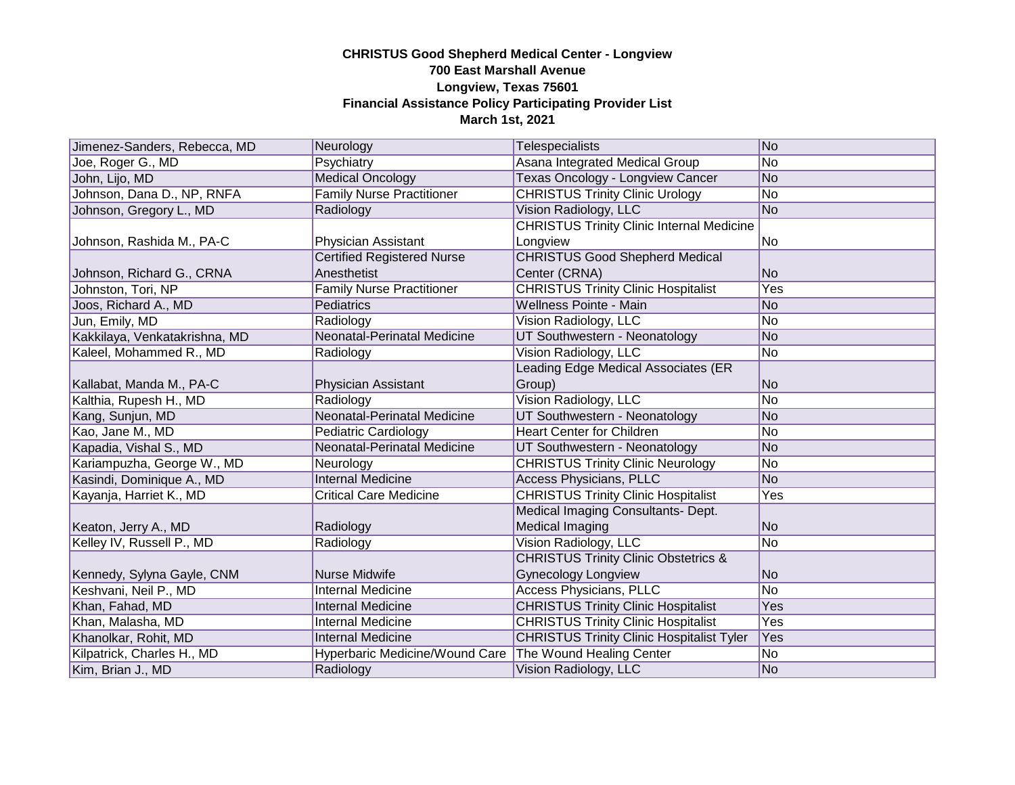| Jimenez-Sanders, Rebecca, MD  | Neurology                         | Telespecialists                                  | No  |
|-------------------------------|-----------------------------------|--------------------------------------------------|-----|
| Joe, Roger G., MD             | Psychiatry                        | Asana Integrated Medical Group                   | No  |
| John, Lijo, MD                | <b>Medical Oncology</b>           | Texas Oncology - Longview Cancer                 | No  |
| Johnson, Dana D., NP, RNFA    | <b>Family Nurse Practitioner</b>  | <b>CHRISTUS Trinity Clinic Urology</b>           | No  |
| Johnson, Gregory L., MD       | Radiology                         | Vision Radiology, LLC                            | No  |
|                               |                                   | <b>CHRISTUS Trinity Clinic Internal Medicine</b> |     |
| Johnson, Rashida M., PA-C     | Physician Assistant               | Longview                                         | No  |
|                               | <b>Certified Registered Nurse</b> | <b>CHRISTUS Good Shepherd Medical</b>            |     |
| Johnson, Richard G., CRNA     | Anesthetist                       | Center (CRNA)                                    | No  |
| Johnston, Tori, NP            | <b>Family Nurse Practitioner</b>  | <b>CHRISTUS Trinity Clinic Hospitalist</b>       | Yes |
| Joos, Richard A., MD          | Pediatrics                        | Wellness Pointe - Main                           | No  |
| Jun, Emily, MD                | Radiology                         | Vision Radiology, LLC                            | No  |
| Kakkilaya, Venkatakrishna, MD | Neonatal-Perinatal Medicine       | UT Southwestern - Neonatology                    | No  |
| Kaleel, Mohammed R., MD       | Radiology                         | Vision Radiology, LLC                            | No  |
|                               |                                   | Leading Edge Medical Associates (ER              |     |
| Kallabat, Manda M., PA-C      | Physician Assistant               | Group)                                           | No  |
| Kalthia, Rupesh H., MD        | Radiology                         | Vision Radiology, LLC                            | No  |
| Kang, Sunjun, MD              | Neonatal-Perinatal Medicine       | UT Southwestern - Neonatology                    | No  |
| Kao, Jane M., MD              | <b>Pediatric Cardiology</b>       | <b>Heart Center for Children</b>                 | No  |
| Kapadia, Vishal S., MD        | Neonatal-Perinatal Medicine       | UT Southwestern - Neonatology                    | No  |
| Kariampuzha, George W., MD    | Neurology                         | <b>CHRISTUS Trinity Clinic Neurology</b>         | No  |
| Kasindi, Dominique A., MD     | <b>Internal Medicine</b>          | <b>Access Physicians, PLLC</b>                   | No  |
| Kayanja, Harriet K., MD       | <b>Critical Care Medicine</b>     | <b>CHRISTUS Trinity Clinic Hospitalist</b>       | Yes |
|                               |                                   | Medical Imaging Consultants- Dept.               |     |
| Keaton, Jerry A., MD          | Radiology                         | <b>Medical Imaging</b>                           | No  |
| Kelley IV, Russell P., MD     | Radiology                         | Vision Radiology, LLC                            | No  |
|                               |                                   | <b>CHRISTUS Trinity Clinic Obstetrics &amp;</b>  |     |
| Kennedy, Sylyna Gayle, CNM    | <b>Nurse Midwife</b>              | <b>Gynecology Longview</b>                       | No. |
| Keshvani, Neil P., MD         | <b>Internal Medicine</b>          | <b>Access Physicians, PLLC</b>                   | No  |
| Khan, Fahad, MD               | <b>Internal Medicine</b>          | <b>CHRISTUS Trinity Clinic Hospitalist</b>       | Yes |
| Khan, Malasha, MD             | <b>Internal Medicine</b>          | <b>CHRISTUS Trinity Clinic Hospitalist</b>       | Yes |
| Khanolkar, Rohit, MD          | <b>Internal Medicine</b>          | <b>CHRISTUS Trinity Clinic Hospitalist Tyler</b> | Yes |
| Kilpatrick, Charles H., MD    | Hyperbaric Medicine/Wound Care    | The Wound Healing Center                         | No  |
| Kim, Brian J., MD             | Radiology                         | Vision Radiology, LLC                            | No  |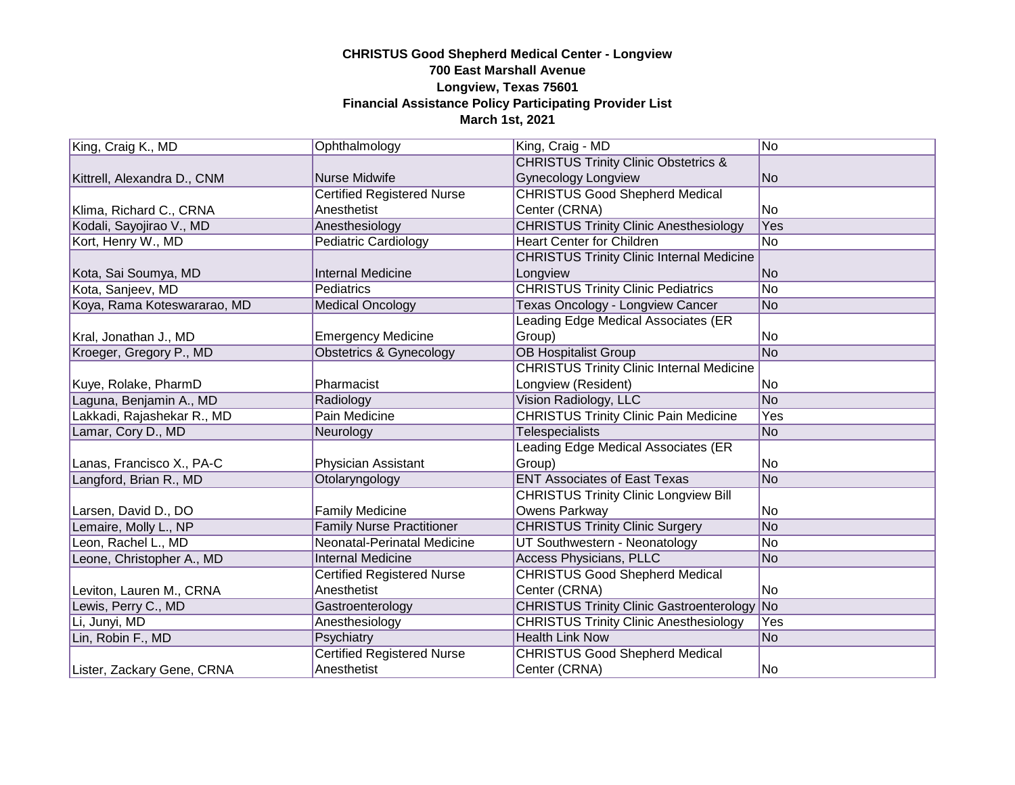| King, Craig K., MD          | Ophthalmology                     | King, Craig - MD                                   | No.            |
|-----------------------------|-----------------------------------|----------------------------------------------------|----------------|
|                             |                                   | <b>CHRISTUS Trinity Clinic Obstetrics &amp;</b>    |                |
| Kittrell, Alexandra D., CNM | <b>Nurse Midwife</b>              | <b>Gynecology Longview</b>                         | N <sub>o</sub> |
|                             | <b>Certified Registered Nurse</b> | <b>CHRISTUS Good Shepherd Medical</b>              |                |
| Klima, Richard C., CRNA     | Anesthetist                       | Center (CRNA)                                      | No             |
| Kodali, Sayojirao V., MD    | Anesthesiology                    | <b>CHRISTUS Trinity Clinic Anesthesiology</b>      | Yes            |
| Kort, Henry W., MD          | <b>Pediatric Cardiology</b>       | <b>Heart Center for Children</b>                   | No             |
|                             |                                   | <b>CHRISTUS Trinity Clinic Internal Medicine</b>   |                |
| Kota, Sai Soumya, MD        | <b>Internal Medicine</b>          | Longview                                           | No.            |
| Kota, Sanjeev, MD           | <b>Pediatrics</b>                 | <b>CHRISTUS Trinity Clinic Pediatrics</b>          | No.            |
| Koya, Rama Koteswararao, MD | <b>Medical Oncology</b>           | <b>Texas Oncology - Longview Cancer</b>            | No             |
|                             |                                   | Leading Edge Medical Associates (ER                |                |
| Kral, Jonathan J., MD       | <b>Emergency Medicine</b>         | Group)                                             | INo.           |
| Kroeger, Gregory P., MD     | Obstetrics & Gynecology           | <b>OB Hospitalist Group</b>                        | No             |
|                             |                                   | <b>CHRISTUS Trinity Clinic Internal Medicine</b>   |                |
| Kuye, Rolake, PharmD        | Pharmacist                        | Longview (Resident)                                | No             |
| Laguna, Benjamin A., MD     | Radiology                         | Vision Radiology, LLC                              | No             |
| Lakkadi, Rajashekar R., MD  | <b>Pain Medicine</b>              | <b>CHRISTUS Trinity Clinic Pain Medicine</b>       | Yes            |
| Lamar, Cory D., MD          | Neurology                         | <b>Telespecialists</b>                             | No.            |
|                             |                                   | Leading Edge Medical Associates (ER                |                |
| Lanas, Francisco X., PA-C   | Physician Assistant               | Group)                                             | No             |
| Langford, Brian R., MD      | Otolaryngology                    | <b>ENT Associates of East Texas</b>                | No             |
|                             |                                   | <b>CHRISTUS Trinity Clinic Longview Bill</b>       |                |
| Larsen, David D., DO        | <b>Family Medicine</b>            | Owens Parkway                                      | No             |
| Lemaire, Molly L., NP       | <b>Family Nurse Practitioner</b>  | <b>CHRISTUS Trinity Clinic Surgery</b>             | No.            |
| Leon, Rachel L., MD         | Neonatal-Perinatal Medicine       | UT Southwestern - Neonatology                      | No             |
| Leone, Christopher A., MD   | <b>Internal Medicine</b>          | Access Physicians, PLLC                            | No.            |
|                             | <b>Certified Registered Nurse</b> | <b>CHRISTUS Good Shepherd Medical</b>              |                |
| Leviton, Lauren M., CRNA    | Anesthetist                       | Center (CRNA)                                      | No             |
| Lewis, Perry C., MD         | Gastroenterology                  | <b>CHRISTUS Trinity Clinic Gastroenterology No</b> |                |
| Li, Junyi, MD               | Anesthesiology                    | <b>CHRISTUS Trinity Clinic Anesthesiology</b>      | Yes            |
| Lin, Robin F., MD           | Psychiatry                        | <b>Health Link Now</b>                             | No.            |
|                             | <b>Certified Registered Nurse</b> | <b>CHRISTUS Good Shepherd Medical</b>              |                |
| Lister, Zackary Gene, CRNA  | Anesthetist                       | Center (CRNA)                                      | No             |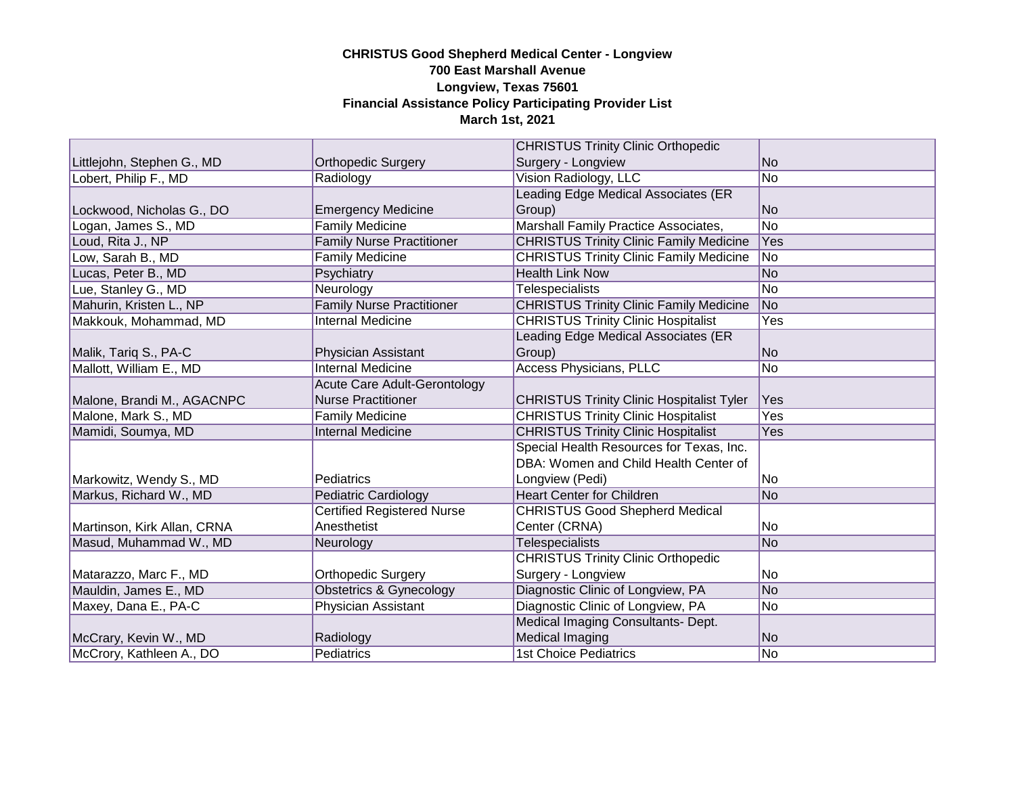|                             |                                     | <b>CHRISTUS Trinity Clinic Orthopedic</b>        |                |
|-----------------------------|-------------------------------------|--------------------------------------------------|----------------|
| Littlejohn, Stephen G., MD  | <b>Orthopedic Surgery</b>           | Surgery - Longview                               | N <sub>o</sub> |
| Lobert, Philip F., MD       | Radiology                           | <b>Vision Radiology, LLC</b>                     | No             |
|                             |                                     | Leading Edge Medical Associates (ER              |                |
| Lockwood, Nicholas G., DO   | <b>Emergency Medicine</b>           | Group)                                           | No             |
| Logan, James S., MD         | <b>Family Medicine</b>              | Marshall Family Practice Associates,             | No             |
| Loud, Rita J., NP           | <b>Family Nurse Practitioner</b>    | <b>CHRISTUS Trinity Clinic Family Medicine</b>   | Yes            |
| Low, Sarah B., MD           | <b>Family Medicine</b>              | <b>CHRISTUS Trinity Clinic Family Medicine</b>   | No.            |
| Lucas, Peter B., MD         | Psychiatry                          | <b>Health Link Now</b>                           | No             |
| Lue, Stanley G., MD         | Neurology                           | <b>Telespecialists</b>                           | No             |
| Mahurin, Kristen L., NP     | <b>Family Nurse Practitioner</b>    | <b>CHRISTUS Trinity Clinic Family Medicine</b>   | N <sub>o</sub> |
| Makkouk, Mohammad, MD       | <b>Internal Medicine</b>            | <b>CHRISTUS Trinity Clinic Hospitalist</b>       | Yes            |
|                             |                                     | Leading Edge Medical Associates (ER              |                |
| Malik, Tariq S., PA-C       | <b>Physician Assistant</b>          | Group)                                           | No.            |
| Mallott, William E., MD     | <b>Internal Medicine</b>            | <b>Access Physicians, PLLC</b>                   | No             |
|                             | <b>Acute Care Adult-Gerontology</b> |                                                  |                |
| Malone, Brandi M., AGACNPC  | <b>Nurse Practitioner</b>           | <b>CHRISTUS Trinity Clinic Hospitalist Tyler</b> | Yes            |
| Malone, Mark S., MD         | <b>Family Medicine</b>              | <b>CHRISTUS Trinity Clinic Hospitalist</b>       | Yes            |
| Mamidi, Soumya, MD          | <b>Internal Medicine</b>            | <b>CHRISTUS Trinity Clinic Hospitalist</b>       | Yes            |
|                             |                                     | Special Health Resources for Texas, Inc.         |                |
|                             |                                     | DBA: Women and Child Health Center of            |                |
| Markowitz, Wendy S., MD     | Pediatrics                          | Longview (Pedi)                                  | No             |
| Markus, Richard W., MD      | <b>Pediatric Cardiology</b>         | <b>Heart Center for Children</b>                 | No             |
|                             | <b>Certified Registered Nurse</b>   | <b>CHRISTUS Good Shepherd Medical</b>            |                |
| Martinson, Kirk Allan, CRNA | Anesthetist                         | Center (CRNA)                                    | No             |
| Masud, Muhammad W., MD      | Neurology                           | <b>Telespecialists</b>                           | N <sub>o</sub> |
|                             |                                     | <b>CHRISTUS Trinity Clinic Orthopedic</b>        |                |
| Matarazzo, Marc F., MD      | <b>Orthopedic Surgery</b>           | Surgery - Longview                               | No             |
| Mauldin, James E., MD       | Obstetrics & Gynecology             | Diagnostic Clinic of Longview, PA                | No.            |
| Maxey, Dana E., PA-C        | <b>Physician Assistant</b>          | Diagnostic Clinic of Longview, PA                | No             |
|                             |                                     | Medical Imaging Consultants- Dept.               |                |
| McCrary, Kevin W., MD       | Radiology                           | Medical Imaging                                  | No             |
| McCrory, Kathleen A., DO    | Pediatrics                          | <b>1st Choice Pediatrics</b>                     | No.            |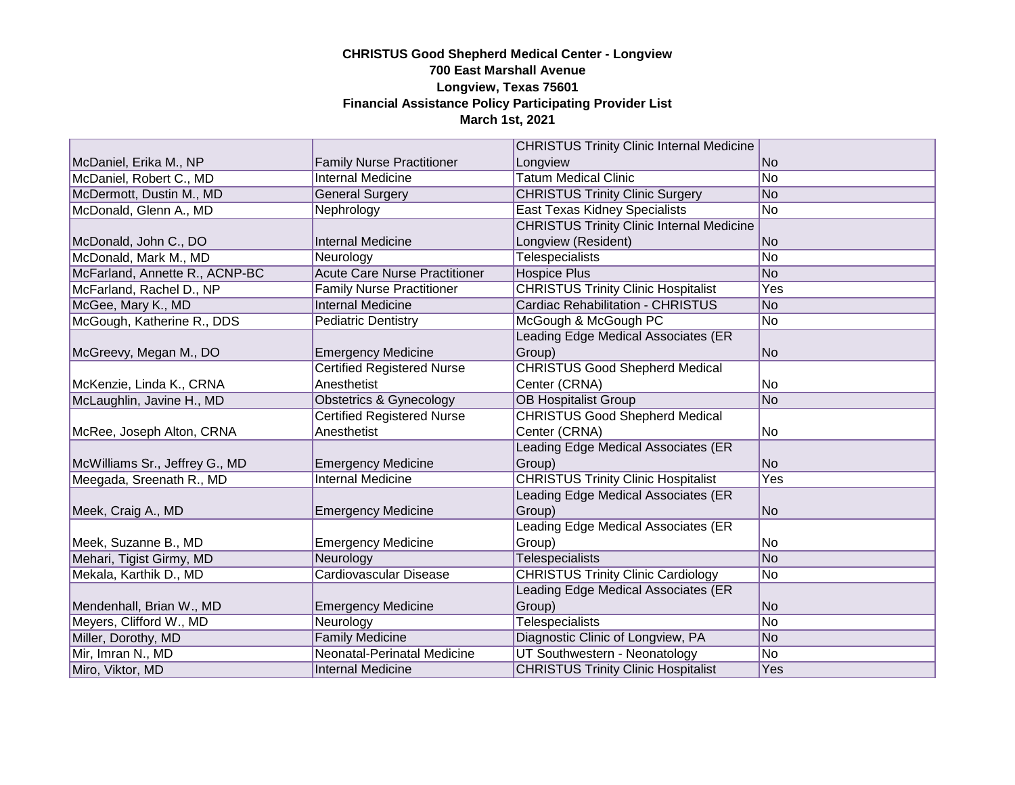|                                |                                      | <b>CHRISTUS Trinity Clinic Internal Medicine</b> |                |
|--------------------------------|--------------------------------------|--------------------------------------------------|----------------|
| McDaniel, Erika M., NP         | <b>Family Nurse Practitioner</b>     | Longview                                         | No.            |
| McDaniel, Robert C., MD        | <b>Internal Medicine</b>             | <b>Tatum Medical Clinic</b>                      | No             |
| McDermott, Dustin M., MD       | <b>General Surgery</b>               | <b>CHRISTUS Trinity Clinic Surgery</b>           | No             |
| McDonald, Glenn A., MD         | Nephrology                           | <b>East Texas Kidney Specialists</b>             | No             |
|                                |                                      | <b>CHRISTUS Trinity Clinic Internal Medicine</b> |                |
| McDonald, John C., DO          | <b>Internal Medicine</b>             | Longview (Resident)                              | No             |
| McDonald, Mark M., MD          | Neurology                            | <b>Telespecialists</b>                           | No             |
| McFarland, Annette R., ACNP-BC | <b>Acute Care Nurse Practitioner</b> | <b>Hospice Plus</b>                              | No             |
| McFarland, Rachel D., NP       | <b>Family Nurse Practitioner</b>     | <b>CHRISTUS Trinity Clinic Hospitalist</b>       | Yes            |
| McGee, Mary K., MD             | <b>Internal Medicine</b>             | <b>Cardiac Rehabilitation - CHRISTUS</b>         | N <sub>o</sub> |
| McGough, Katherine R., DDS     | <b>Pediatric Dentistry</b>           | McGough & McGough PC                             | No             |
|                                |                                      | Leading Edge Medical Associates (ER              |                |
| McGreevy, Megan M., DO         | <b>Emergency Medicine</b>            | Group)                                           | No             |
|                                | <b>Certified Registered Nurse</b>    | <b>CHRISTUS Good Shepherd Medical</b>            |                |
| McKenzie, Linda K., CRNA       | Anesthetist                          | Center (CRNA)                                    | No             |
| McLaughlin, Javine H., MD      | <b>Obstetrics &amp; Gynecology</b>   | <b>OB Hospitalist Group</b>                      | No             |
|                                | <b>Certified Registered Nurse</b>    | <b>CHRISTUS Good Shepherd Medical</b>            |                |
| McRee, Joseph Alton, CRNA      | Anesthetist                          | Center (CRNA)                                    | No             |
|                                |                                      | Leading Edge Medical Associates (ER              |                |
| McWilliams Sr., Jeffrey G., MD | <b>Emergency Medicine</b>            | Group)                                           | N <sub>o</sub> |
| Meegada, Sreenath R., MD       | <b>Internal Medicine</b>             | <b>CHRISTUS Trinity Clinic Hospitalist</b>       | Yes            |
|                                |                                      | Leading Edge Medical Associates (ER              |                |
| Meek, Craig A., MD             | <b>Emergency Medicine</b>            | Group)                                           | No             |
|                                |                                      | Leading Edge Medical Associates (ER              |                |
| Meek, Suzanne B., MD           | <b>Emergency Medicine</b>            | Group)                                           | No             |
| Mehari, Tigist Girmy, MD       | Neurology                            | <b>Telespecialists</b>                           | No             |
| Mekala, Karthik D., MD         | Cardiovascular Disease               | <b>CHRISTUS Trinity Clinic Cardiology</b>        | No.            |
|                                |                                      | Leading Edge Medical Associates (ER              |                |
| Mendenhall, Brian W., MD       | <b>Emergency Medicine</b>            | Group)                                           | No             |
| Meyers, Clifford W., MD        | Neurology                            | <b>Telespecialists</b>                           | No             |
| Miller, Dorothy, MD            | <b>Family Medicine</b>               | Diagnostic Clinic of Longview, PA                | No.            |
| Mir, Imran N., MD              | Neonatal-Perinatal Medicine          | UT Southwestern - Neonatology                    | No             |
| Miro, Viktor, MD               | Internal Medicine                    | <b>CHRISTUS Trinity Clinic Hospitalist</b>       | Yes            |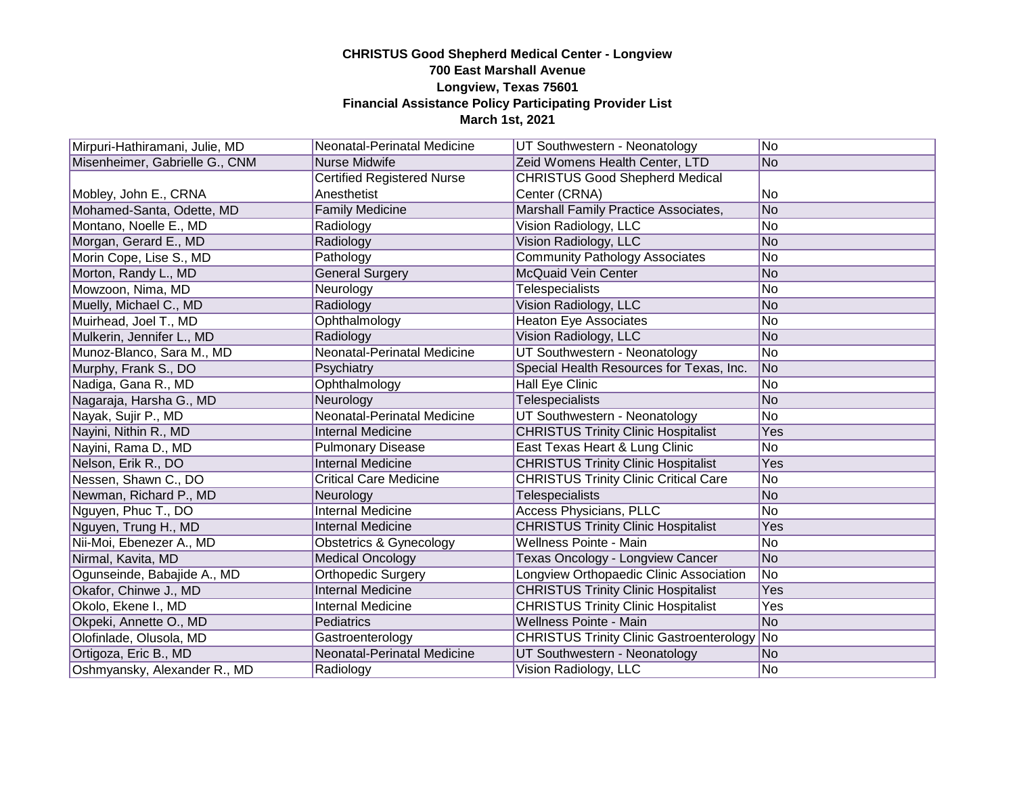| Mirpuri-Hathiramani, Julie, MD | Neonatal-Perinatal Medicine       | UT Southwestern - Neonatology                | No.            |
|--------------------------------|-----------------------------------|----------------------------------------------|----------------|
| Misenheimer, Gabrielle G., CNM | <b>Nurse Midwife</b>              | Zeid Womens Health Center, LTD               | N <sub>o</sub> |
|                                | <b>Certified Registered Nurse</b> | <b>CHRISTUS Good Shepherd Medical</b>        |                |
| Mobley, John E., CRNA          | Anesthetist                       | Center (CRNA)                                | lNo            |
| Mohamed-Santa, Odette, MD      | <b>Family Medicine</b>            | Marshall Family Practice Associates,         | No             |
| Montano, Noelle E., MD         | Radiology                         | Vision Radiology, LLC                        | No             |
| Morgan, Gerard E., MD          | Radiology                         | Vision Radiology, LLC                        | lNo            |
| Morin Cope, Lise S., MD        | Pathology                         | <b>Community Pathology Associates</b>        | No             |
| Morton, Randy L., MD           | <b>General Surgery</b>            | <b>McQuaid Vein Center</b>                   | No             |
| Mowzoon, Nima, MD              | Neurology                         | Telespecialists                              | No             |
| Muelly, Michael C., MD         | Radiology                         | Vision Radiology, LLC                        | No             |
| Muirhead, Joel T., MD          | Ophthalmology                     | <b>Heaton Eye Associates</b>                 | N <sub>o</sub> |
| Mulkerin, Jennifer L., MD      | Radiology                         | Vision Radiology, LLC                        | No             |
| Munoz-Blanco, Sara M., MD      | Neonatal-Perinatal Medicine       | UT Southwestern - Neonatology                | No             |
| Murphy, Frank S., DO           | Psychiatry                        | Special Health Resources for Texas, Inc.     | No             |
| Nadiga, Gana R., MD            | Ophthalmology                     | <b>Hall Eye Clinic</b>                       | No             |
| Nagaraja, Harsha G., MD        | Neurology                         | <b>Telespecialists</b>                       | No             |
| Nayak, Sujir P., MD            | Neonatal-Perinatal Medicine       | UT Southwestern - Neonatology                | No             |
| Nayini, Nithin R., MD          | <b>Internal Medicine</b>          | <b>CHRISTUS Trinity Clinic Hospitalist</b>   | Yes            |
| Nayini, Rama D., MD            | <b>Pulmonary Disease</b>          | East Texas Heart & Lung Clinic               | No             |
| Nelson, Erik R., DO            | <b>Internal Medicine</b>          | <b>CHRISTUS Trinity Clinic Hospitalist</b>   | Yes            |
| Nessen, Shawn C., DO           | Critical Care Medicine            | <b>CHRISTUS Trinity Clinic Critical Care</b> | lNo            |
| Newman, Richard P., MD         | Neurology                         | <b>Telespecialists</b>                       | No             |
| Nguyen, Phuc T., DO            | <b>Internal Medicine</b>          | <b>Access Physicians, PLLC</b>               | No             |
| Nguyen, Trung H., MD           | <b>Internal Medicine</b>          | <b>CHRISTUS Trinity Clinic Hospitalist</b>   | Yes            |
| Nii-Moi, Ebenezer A., MD       | Obstetrics & Gynecology           | <b>Wellness Pointe - Main</b>                | No             |
| Nirmal, Kavita, MD             | <b>Medical Oncology</b>           | Texas Oncology - Longview Cancer             | No             |
| Ogunseinde, Babajide A., MD    | Orthopedic Surgery                | Longview Orthopaedic Clinic Association      | No             |
| Okafor, Chinwe J., MD          | <b>Internal Medicine</b>          | <b>CHRISTUS Trinity Clinic Hospitalist</b>   | Yes            |
| Okolo, Ekene I., MD            | <b>Internal Medicine</b>          | <b>CHRISTUS Trinity Clinic Hospitalist</b>   | Yes            |
| Okpeki, Annette O., MD         | Pediatrics                        | <b>Wellness Pointe - Main</b>                | No             |
| Olofinlade, Olusola, MD        | Gastroenterology                  | CHRISTUS Trinity Clinic Gastroenterology No  |                |
| Ortigoza, Eric B., MD          | Neonatal-Perinatal Medicine       | UT Southwestern - Neonatology                | lNo            |
| Oshmyansky, Alexander R., MD   | Radiology                         | Vision Radiology, LLC                        | No.            |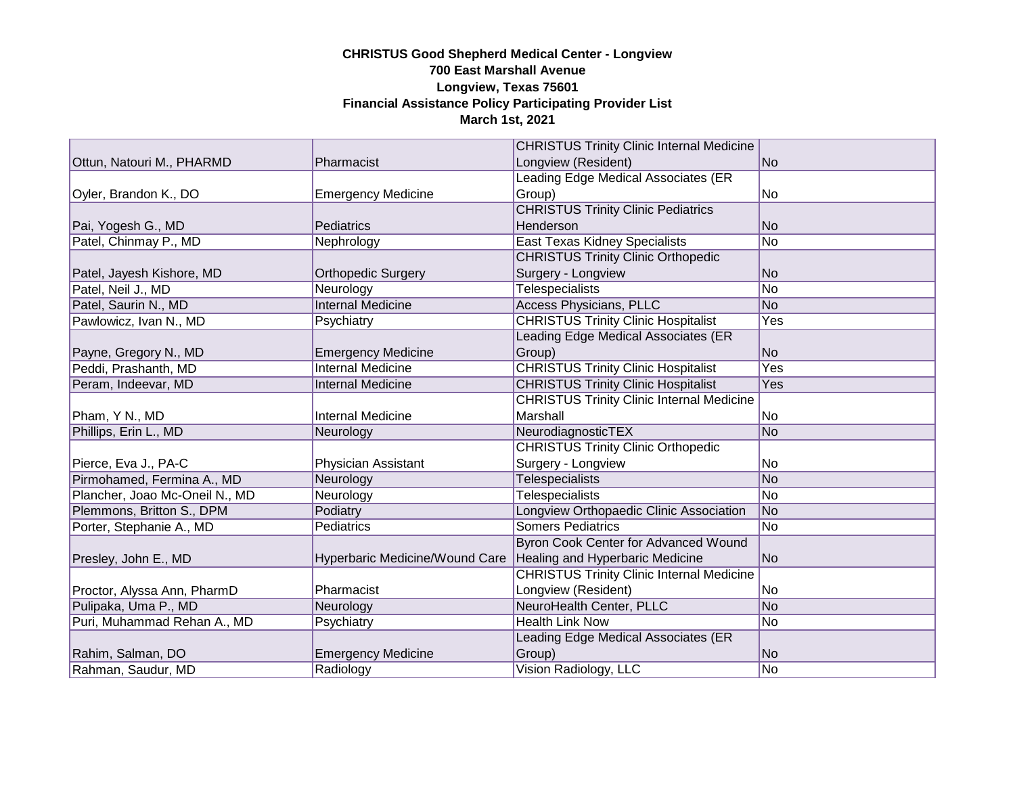|                                |                                | <b>CHRISTUS Trinity Clinic Internal Medicine</b> |            |
|--------------------------------|--------------------------------|--------------------------------------------------|------------|
| Ottun, Natouri M., PHARMD      | Pharmacist                     | Longview (Resident)                              | No.        |
|                                |                                | Leading Edge Medical Associates (ER              |            |
| Oyler, Brandon K., DO          | <b>Emergency Medicine</b>      | Group)                                           | No         |
|                                |                                | <b>CHRISTUS Trinity Clinic Pediatrics</b>        |            |
| Pai, Yogesh G., MD             | Pediatrics                     | Henderson                                        | No         |
| Patel, Chinmay P., MD          | Nephrology                     | <b>East Texas Kidney Specialists</b>             | No         |
|                                |                                | <b>CHRISTUS Trinity Clinic Orthopedic</b>        |            |
| Patel, Jayesh Kishore, MD      | <b>Orthopedic Surgery</b>      | Surgery - Longview                               | No.        |
| Patel, Neil J., MD             | Neurology                      | <b>Telespecialists</b>                           | No         |
| Patel, Saurin N., MD           | <b>Internal Medicine</b>       | <b>Access Physicians, PLLC</b>                   | No         |
| Pawlowicz, Ivan N., MD         | Psychiatry                     | <b>CHRISTUS Trinity Clinic Hospitalist</b>       | Yes        |
|                                |                                | Leading Edge Medical Associates (ER              |            |
| Payne, Gregory N., MD          | <b>Emergency Medicine</b>      | Group)                                           | No.        |
| Peddi, Prashanth, MD           | <b>Internal Medicine</b>       | <b>CHRISTUS Trinity Clinic Hospitalist</b>       | <b>Yes</b> |
| Peram, Indeevar, MD            | <b>Internal Medicine</b>       | <b>CHRISTUS Trinity Clinic Hospitalist</b>       | Yes        |
|                                |                                | <b>CHRISTUS Trinity Clinic Internal Medicine</b> |            |
| Pham, Y N., MD                 | <b>Internal Medicine</b>       | Marshall                                         | No         |
| Phillips, Erin L., MD          | Neurology                      | NeurodiagnosticTEX                               | No         |
|                                |                                | <b>CHRISTUS Trinity Clinic Orthopedic</b>        |            |
| Pierce, Eva J., PA-C           | Physician Assistant            | Surgery - Longview                               | lNo.       |
| Pirmohamed, Fermina A., MD     | Neurology                      | <b>Telespecialists</b>                           | No         |
| Plancher, Joao Mc-Oneil N., MD | Neurology                      | <b>Telespecialists</b>                           | No         |
| Plemmons, Britton S., DPM      | Podiatry                       | Longview Orthopaedic Clinic Association          | No         |
| Porter, Stephanie A., MD       | Pediatrics                     | <b>Somers Pediatrics</b>                         | No         |
|                                |                                | Byron Cook Center for Advanced Wound             |            |
| Presley, John E., MD           | Hyperbaric Medicine/Wound Care | Healing and Hyperbaric Medicine                  | No         |
|                                |                                | <b>CHRISTUS Trinity Clinic Internal Medicine</b> |            |
| Proctor, Alyssa Ann, PharmD    | Pharmacist                     | Longview (Resident)                              | lNo.       |
| Pulipaka, Uma P., MD           | Neurology                      | NeuroHealth Center, PLLC                         | No         |
| Puri, Muhammad Rehan A., MD    | Psychiatry                     | <b>Health Link Now</b>                           | No         |
|                                |                                | Leading Edge Medical Associates (ER              |            |
| Rahim, Salman, DO              | <b>Emergency Medicine</b>      | Group)                                           | No         |
| Rahman, Saudur, MD             | Radiology                      | Vision Radiology, LLC                            | No         |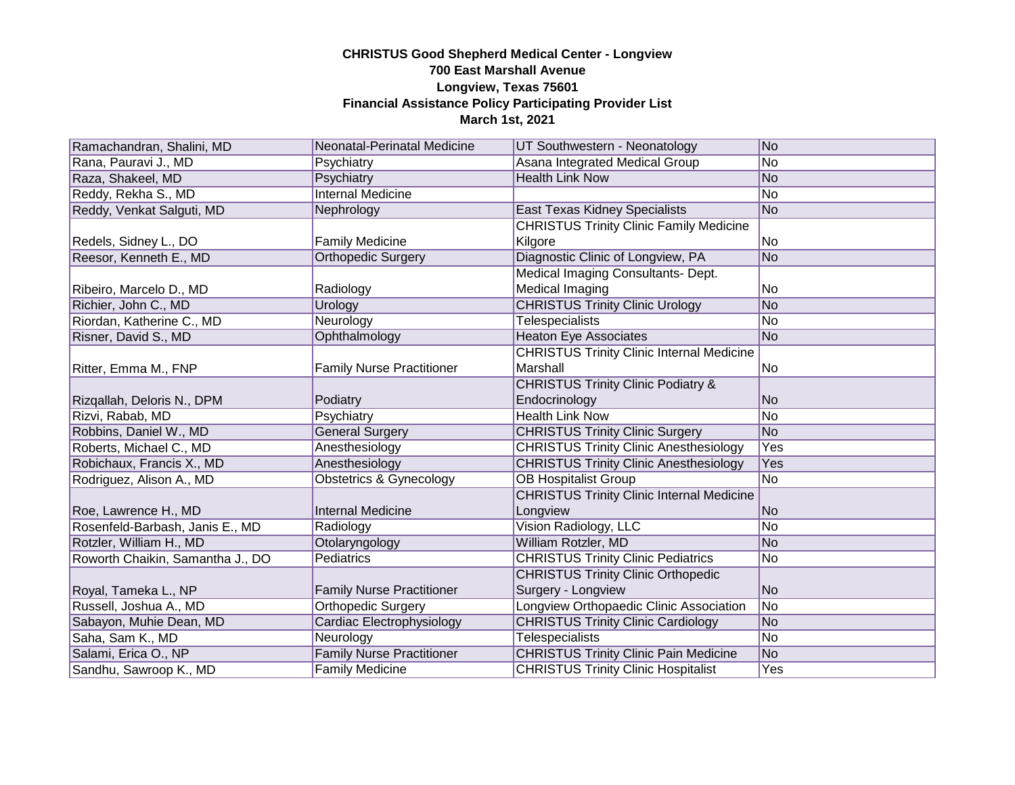| Ramachandran, Shalini, MD        | Neonatal-Perinatal Medicine      | UT Southwestern - Neonatology                    | No              |
|----------------------------------|----------------------------------|--------------------------------------------------|-----------------|
| Rana, Pauravi J., MD             | Psychiatry                       | Asana Integrated Medical Group                   | No              |
| Raza, Shakeel, MD                | Psychiatry                       | <b>Health Link Now</b>                           | No              |
| Reddy, Rekha S., MD              | <b>Internal Medicine</b>         |                                                  | No              |
| Reddy, Venkat Salguti, MD        | Nephrology                       | East Texas Kidney Specialists                    | No              |
|                                  |                                  | <b>CHRISTUS Trinity Clinic Family Medicine</b>   |                 |
| Redels, Sidney L., DO            | <b>Family Medicine</b>           | Kilgore                                          | No              |
| Reesor, Kenneth E., MD           | <b>Orthopedic Surgery</b>        | Diagnostic Clinic of Longview, PA                | N <sub>o</sub>  |
|                                  |                                  | Medical Imaging Consultants- Dept.               |                 |
| Ribeiro, Marcelo D., MD          | Radiology                        | Medical Imaging                                  | No              |
| Richier, John C., MD             | Urology                          | <b>CHRISTUS Trinity Clinic Urology</b>           | No              |
| Riordan, Katherine C., MD        | Neurology                        | <b>Telespecialists</b>                           | No              |
| Risner, David S., MD             | Ophthalmology                    | <b>Heaton Eye Associates</b>                     | N <sub>o</sub>  |
|                                  |                                  | <b>CHRISTUS Trinity Clinic Internal Medicine</b> |                 |
| Ritter, Emma M., FNP             | <b>Family Nurse Practitioner</b> | Marshall                                         | No              |
|                                  |                                  | <b>CHRISTUS Trinity Clinic Podiatry &amp;</b>    |                 |
| Rizgallah, Deloris N., DPM       | Podiatry                         | Endocrinology                                    | No.             |
| Rizvi, Rabab, MD                 | Psychiatry                       | <b>Health Link Now</b>                           | No              |
| Robbins, Daniel W., MD           | <b>General Surgery</b>           | <b>CHRISTUS Trinity Clinic Surgery</b>           | No              |
| Roberts, Michael C., MD          | Anesthesiology                   | <b>CHRISTUS Trinity Clinic Anesthesiology</b>    | Yes             |
| Robichaux, Francis X., MD        | Anesthesiology                   | <b>CHRISTUS Trinity Clinic Anesthesiology</b>    | Yes             |
| Rodriguez, Alison A., MD         | Obstetrics & Gynecology          | <b>OB Hospitalist Group</b>                      | No              |
|                                  |                                  | <b>CHRISTUS Trinity Clinic Internal Medicine</b> |                 |
| Roe, Lawrence H., MD             | <b>Internal Medicine</b>         | Longview                                         | No              |
| Rosenfeld-Barbash, Janis E., MD  | Radiology                        | Vision Radiology, LLC                            | No              |
| Rotzler, William H., MD          | Otolaryngology                   | William Rotzler, MD                              | No              |
| Roworth Chaikin, Samantha J., DO | Pediatrics                       | <b>CHRISTUS Trinity Clinic Pediatrics</b>        | No              |
|                                  |                                  | <b>CHRISTUS Trinity Clinic Orthopedic</b>        |                 |
| Royal, Tameka L., NP             | <b>Family Nurse Practitioner</b> | Surgery - Longview                               | No              |
| Russell, Joshua A., MD           | Orthopedic Surgery               | Longview Orthopaedic Clinic Association          | $\overline{No}$ |
| Sabayon, Muhie Dean, MD          | Cardiac Electrophysiology        | <b>CHRISTUS Trinity Clinic Cardiology</b>        | No              |
| Saha, Sam K., MD                 | Neurology                        | <b>Telespecialists</b>                           | No              |
| Salami, Erica O., NP             | <b>Family Nurse Practitioner</b> | <b>CHRISTUS Trinity Clinic Pain Medicine</b>     | N <sub>o</sub>  |
| Sandhu, Sawroop K., MD           | <b>Family Medicine</b>           | <b>CHRISTUS Trinity Clinic Hospitalist</b>       | Yes             |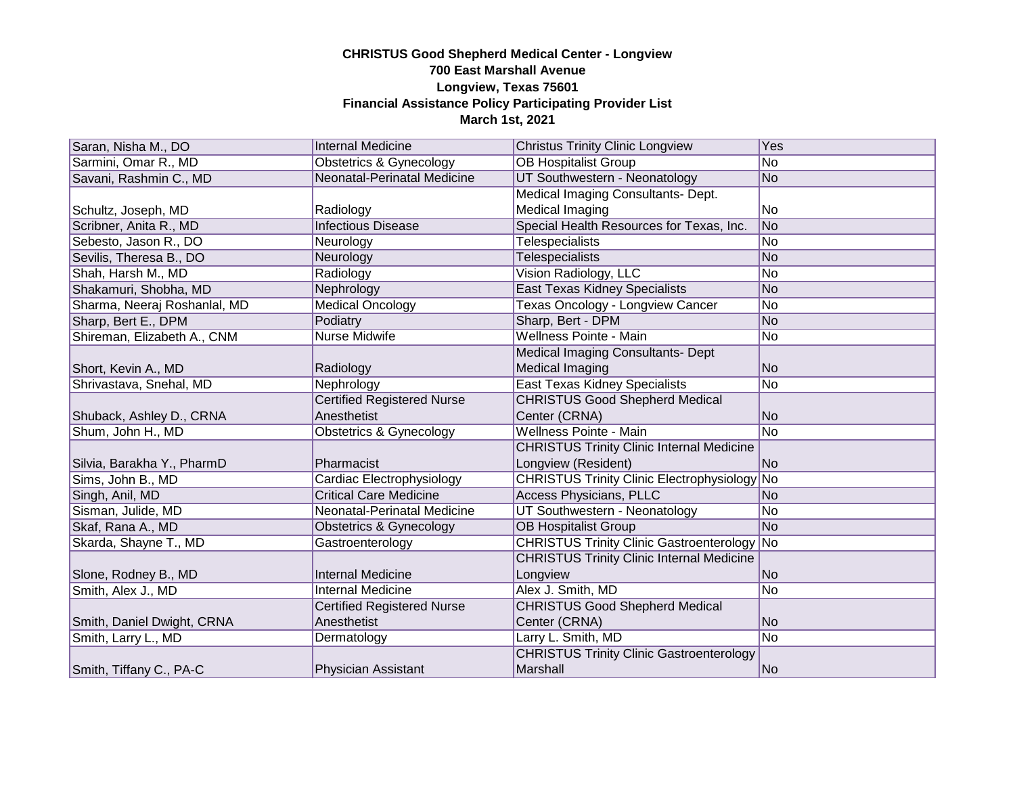| Saran, Nisha M., DO          | <b>Internal Medicine</b>           | <b>Christus Trinity Clinic Longview</b>            | <b>Yes</b>     |
|------------------------------|------------------------------------|----------------------------------------------------|----------------|
| Sarmini, Omar R., MD         | Obstetrics & Gynecology            | <b>OB Hospitalist Group</b>                        | N <sub>o</sub> |
| Savani, Rashmin C., MD       | Neonatal-Perinatal Medicine        | UT Southwestern - Neonatology                      | No.            |
|                              |                                    | Medical Imaging Consultants- Dept.                 |                |
| Schultz, Joseph, MD          | Radiology                          | Medical Imaging                                    | No             |
| Scribner, Anita R., MD       | <b>Infectious Disease</b>          | Special Health Resources for Texas, Inc.           | No             |
| Sebesto, Jason R., DO        | Neurology                          | Telespecialists                                    | No             |
| Sevilis, Theresa B., DO      | Neurology                          | Telespecialists                                    | lNo.           |
| Shah, Harsh M., MD           | Radiology                          | Vision Radiology, LLC                              | No.            |
| Shakamuri, Shobha, MD        | Nephrology                         | <b>East Texas Kidney Specialists</b>               | No             |
| Sharma, Neeraj Roshanlal, MD | <b>Medical Oncology</b>            | Texas Oncology - Longview Cancer                   | No.            |
| Sharp, Bert E., DPM          | Podiatry                           | Sharp, Bert - DPM                                  | No             |
| Shireman, Elizabeth A., CNM  | Nurse Midwife                      | Wellness Pointe - Main                             | No             |
|                              |                                    | Medical Imaging Consultants- Dept                  |                |
| Short, Kevin A., MD          | Radiology                          | Medical Imaging                                    | No             |
| Shrivastava, Snehal, MD      | Nephrology                         | <b>East Texas Kidney Specialists</b>               | No             |
|                              | <b>Certified Registered Nurse</b>  | <b>CHRISTUS Good Shepherd Medical</b>              |                |
| Shuback, Ashley D., CRNA     | Anesthetist                        | Center (CRNA)                                      | No             |
| Shum, John H., MD            | <b>Obstetrics &amp; Gynecology</b> | Wellness Pointe - Main                             | No.            |
|                              |                                    | <b>CHRISTUS Trinity Clinic Internal Medicine</b>   |                |
| Silvia, Barakha Y., PharmD   | Pharmacist                         | Longview (Resident)                                | <b>No</b>      |
| Sims, John B., MD            | Cardiac Electrophysiology          | CHRISTUS Trinity Clinic Electrophysiology No       |                |
| Singh, Anil, MD              | <b>Critical Care Medicine</b>      | <b>Access Physicians, PLLC</b>                     | No             |
| Sisman, Julide, MD           | Neonatal-Perinatal Medicine        | UT Southwestern - Neonatology                      | No             |
| Skaf, Rana A., MD            | Obstetrics & Gynecology            | <b>OB Hospitalist Group</b>                        | No             |
| Skarda, Shayne T., MD        | Gastroenterology                   | <b>CHRISTUS Trinity Clinic Gastroenterology No</b> |                |
|                              |                                    | <b>CHRISTUS Trinity Clinic Internal Medicine</b>   |                |
| Slone, Rodney B., MD         | <b>Internal Medicine</b>           | Longview                                           | No.            |
| Smith, Alex J., MD           | <b>Internal Medicine</b>           | Alex J. Smith, MD                                  | No             |
|                              | <b>Certified Registered Nurse</b>  | <b>CHRISTUS Good Shepherd Medical</b>              |                |
| Smith, Daniel Dwight, CRNA   | Anesthetist                        | Center (CRNA)                                      | No.            |
| Smith, Larry L., MD          | Dermatology                        | Larry L. Smith, MD                                 | No             |
|                              |                                    | <b>CHRISTUS Trinity Clinic Gastroenterology</b>    |                |
| Smith, Tiffany C., PA-C      | <b>Physician Assistant</b>         | Marshall                                           | No             |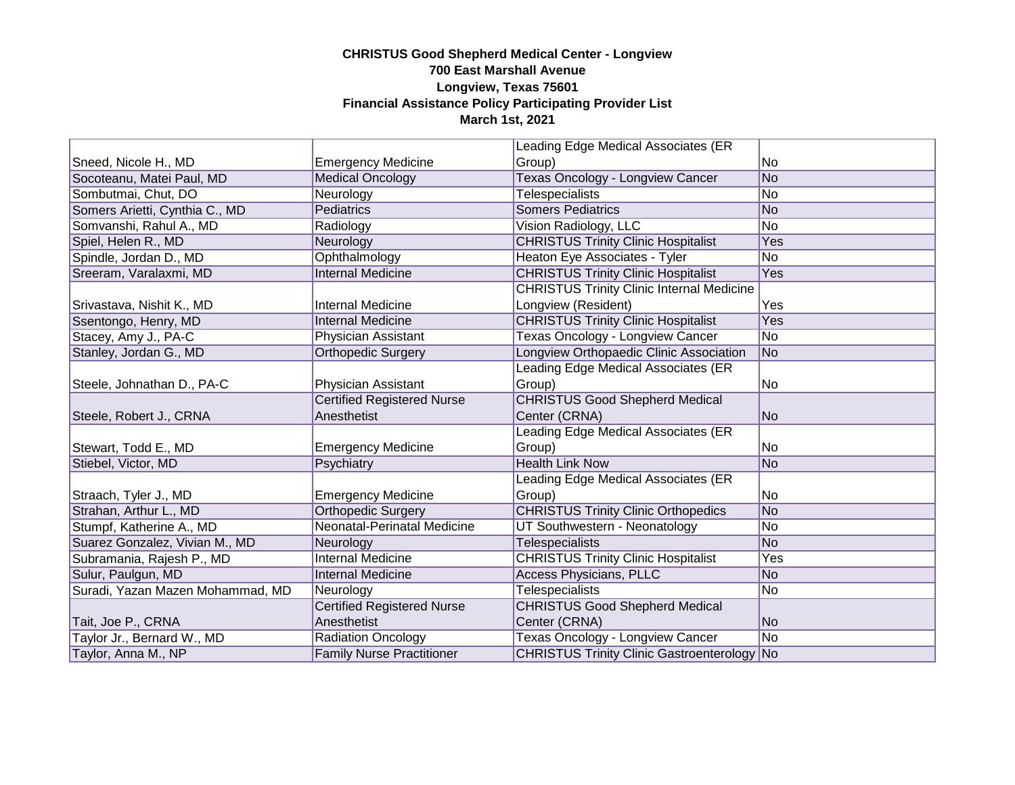|                                  |                                   | Leading Edge Medical Associates (ER              |                |
|----------------------------------|-----------------------------------|--------------------------------------------------|----------------|
| Sneed, Nicole H., MD             | <b>Emergency Medicine</b>         | Group)                                           | No             |
| Socoteanu, Matei Paul, MD        | <b>Medical Oncology</b>           | <b>Texas Oncology - Longview Cancer</b>          | No             |
| Sombutmai, Chut, DO              | Neurology                         | <b>Telespecialists</b>                           | No             |
| Somers Arietti, Cynthia C., MD   | Pediatrics                        | <b>Somers Pediatrics</b>                         | No             |
| Somvanshi, Rahul A., MD          | Radiology                         | Vision Radiology, LLC                            | No             |
| Spiel, Helen R., MD              | Neurology                         | <b>CHRISTUS Trinity Clinic Hospitalist</b>       | Yes            |
| Spindle, Jordan D., MD           | Ophthalmology                     | Heaton Eye Associates - Tyler                    | No             |
| Sreeram, Varalaxmi, MD           | <b>Internal Medicine</b>          | <b>CHRISTUS Trinity Clinic Hospitalist</b>       | Yes            |
|                                  |                                   | <b>CHRISTUS Trinity Clinic Internal Medicine</b> |                |
| Srivastava, Nishit K., MD        | <b>Internal Medicine</b>          | Longview (Resident)                              | Yes            |
| Ssentongo, Henry, MD             | <b>Internal Medicine</b>          | <b>CHRISTUS Trinity Clinic Hospitalist</b>       | Yes            |
| Stacey, Amy J., PA-C             | Physician Assistant               | Texas Oncology - Longview Cancer                 | No             |
| Stanley, Jordan G., MD           | Orthopedic Surgery                | Longview Orthopaedic Clinic Association          | N <sub>o</sub> |
|                                  |                                   | Leading Edge Medical Associates (ER              |                |
| Steele, Johnathan D., PA-C       | Physician Assistant               | Group)                                           | No             |
|                                  | <b>Certified Registered Nurse</b> | <b>CHRISTUS Good Shepherd Medical</b>            |                |
| Steele, Robert J., CRNA          | Anesthetist                       | Center (CRNA)                                    | N <sub>o</sub> |
|                                  |                                   | Leading Edge Medical Associates (ER              |                |
| Stewart, Todd E., MD             | <b>Emergency Medicine</b>         | Group)                                           | No.            |
| Stiebel, Victor, MD              | Psychiatry                        | <b>Health Link Now</b>                           | No             |
|                                  |                                   | Leading Edge Medical Associates (ER              |                |
| Straach, Tyler J., MD            | <b>Emergency Medicine</b>         | Group)                                           | No             |
| Strahan, Arthur L., MD           | <b>Orthopedic Surgery</b>         | <b>CHRISTUS Trinity Clinic Orthopedics</b>       | No             |
| Stumpf, Katherine A., MD         | Neonatal-Perinatal Medicine       | UT Southwestern - Neonatology                    | No             |
| Suarez Gonzalez, Vivian M., MD   | Neurology                         | <b>Telespecialists</b>                           | No             |
| Subramania, Rajesh P., MD        | <b>Internal Medicine</b>          | <b>CHRISTUS Trinity Clinic Hospitalist</b>       | Yes            |
| Sulur, Paulgun, MD               | <b>Internal Medicine</b>          | <b>Access Physicians, PLLC</b>                   | No             |
| Suradi, Yazan Mazen Mohammad, MD | Neurology                         | <b>Telespecialists</b>                           | No             |
|                                  | <b>Certified Registered Nurse</b> | <b>CHRISTUS Good Shepherd Medical</b>            |                |
| Tait, Joe P., CRNA               | Anesthetist                       | Center (CRNA)                                    | No             |
| Taylor Jr., Bernard W., MD       | <b>Radiation Oncology</b>         | <b>Texas Oncology - Longview Cancer</b>          | No             |
| Taylor, Anna M., NP              | <b>Family Nurse Practitioner</b>  | CHRISTUS Trinity Clinic Gastroenterology No      |                |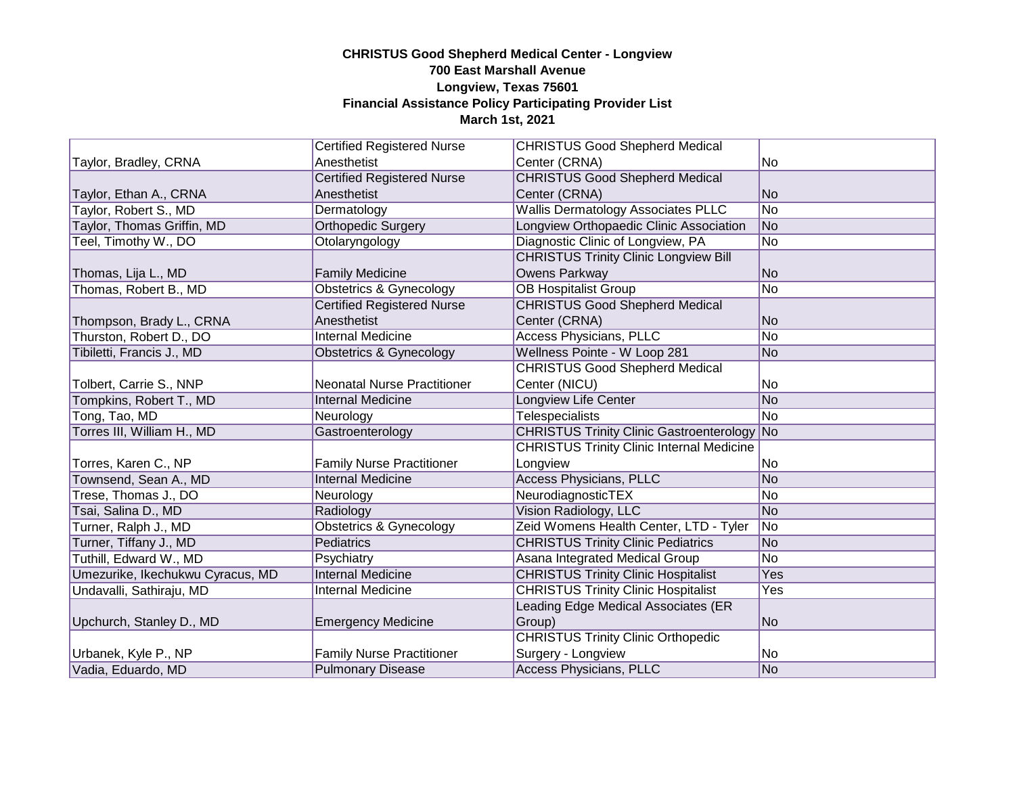|                                  | <b>Certified Registered Nurse</b>  | <b>CHRISTUS Good Shepherd Medical</b>              |                |
|----------------------------------|------------------------------------|----------------------------------------------------|----------------|
| Taylor, Bradley, CRNA            | Anesthetist                        | Center (CRNA)                                      | No             |
|                                  | <b>Certified Registered Nurse</b>  | <b>CHRISTUS Good Shepherd Medical</b>              |                |
| Taylor, Ethan A., CRNA           | Anesthetist                        | Center (CRNA)                                      | No             |
| Taylor, Robert S., MD            | Dermatology                        | <b>Wallis Dermatology Associates PLLC</b>          | No             |
| Taylor, Thomas Griffin, MD       | <b>Orthopedic Surgery</b>          | Longview Orthopaedic Clinic Association            | No             |
| Teel, Timothy W., DO             | Otolaryngology                     | Diagnostic Clinic of Longview, PA                  | No             |
|                                  |                                    | <b>CHRISTUS Trinity Clinic Longview Bill</b>       |                |
| Thomas, Lija L., MD              | <b>Family Medicine</b>             | Owens Parkway                                      | No             |
| Thomas, Robert B., MD            | Obstetrics & Gynecology            | <b>OB Hospitalist Group</b>                        | No             |
|                                  | <b>Certified Registered Nurse</b>  | <b>CHRISTUS Good Shepherd Medical</b>              |                |
| Thompson, Brady L., CRNA         | Anesthetist                        | Center (CRNA)                                      | N <sub>o</sub> |
| Thurston, Robert D., DO          | <b>Internal Medicine</b>           | <b>Access Physicians, PLLC</b>                     | No             |
| Tibiletti, Francis J., MD        | Obstetrics & Gynecology            | Wellness Pointe - W Loop 281                       | No             |
|                                  |                                    | <b>CHRISTUS Good Shepherd Medical</b>              |                |
| Tolbert, Carrie S., NNP          | <b>Neonatal Nurse Practitioner</b> | Center (NICU)                                      | No             |
| Tompkins, Robert T., MD          | <b>Internal Medicine</b>           | Longview Life Center                               | No             |
| Tong, Tao, MD                    | Neurology                          | <b>Telespecialists</b>                             | No             |
| Torres III, William H., MD       | Gastroenterology                   | <b>CHRISTUS Trinity Clinic Gastroenterology No</b> |                |
|                                  |                                    | <b>CHRISTUS Trinity Clinic Internal Medicine</b>   |                |
| Torres, Karen C., NP             | <b>Family Nurse Practitioner</b>   | Longview                                           | No             |
| Townsend, Sean A., MD            | <b>Internal Medicine</b>           | <b>Access Physicians, PLLC</b>                     | No             |
| Trese, Thomas J., DO             | Neurology                          | NeurodiagnosticTEX                                 | No             |
| Tsai, Salina D., MD              | Radiology                          | Vision Radiology, LLC                              | No             |
| Turner, Ralph J., MD             | Obstetrics & Gynecology            | Zeid Womens Health Center, LTD - Tyler             | N <sub>o</sub> |
| Turner, Tiffany J., MD           | Pediatrics                         | <b>CHRISTUS Trinity Clinic Pediatrics</b>          | No             |
| Tuthill, Edward W., MD           | Psychiatry                         | Asana Integrated Medical Group                     | No             |
| Umezurike, Ikechukwu Cyracus, MD | <b>Internal Medicine</b>           | <b>CHRISTUS Trinity Clinic Hospitalist</b>         | Yes            |
| Undavalli, Sathiraju, MD         | <b>Internal Medicine</b>           | <b>CHRISTUS Trinity Clinic Hospitalist</b>         | Yes            |
|                                  |                                    | Leading Edge Medical Associates (ER                |                |
| Upchurch, Stanley D., MD         | <b>Emergency Medicine</b>          | Group)                                             | No             |
|                                  |                                    | <b>CHRISTUS Trinity Clinic Orthopedic</b>          |                |
| Urbanek, Kyle P., NP             | <b>Family Nurse Practitioner</b>   | Surgery - Longview                                 | No             |
| Vadia, Eduardo, MD               | <b>Pulmonary Disease</b>           | <b>Access Physicians, PLLC</b>                     | No             |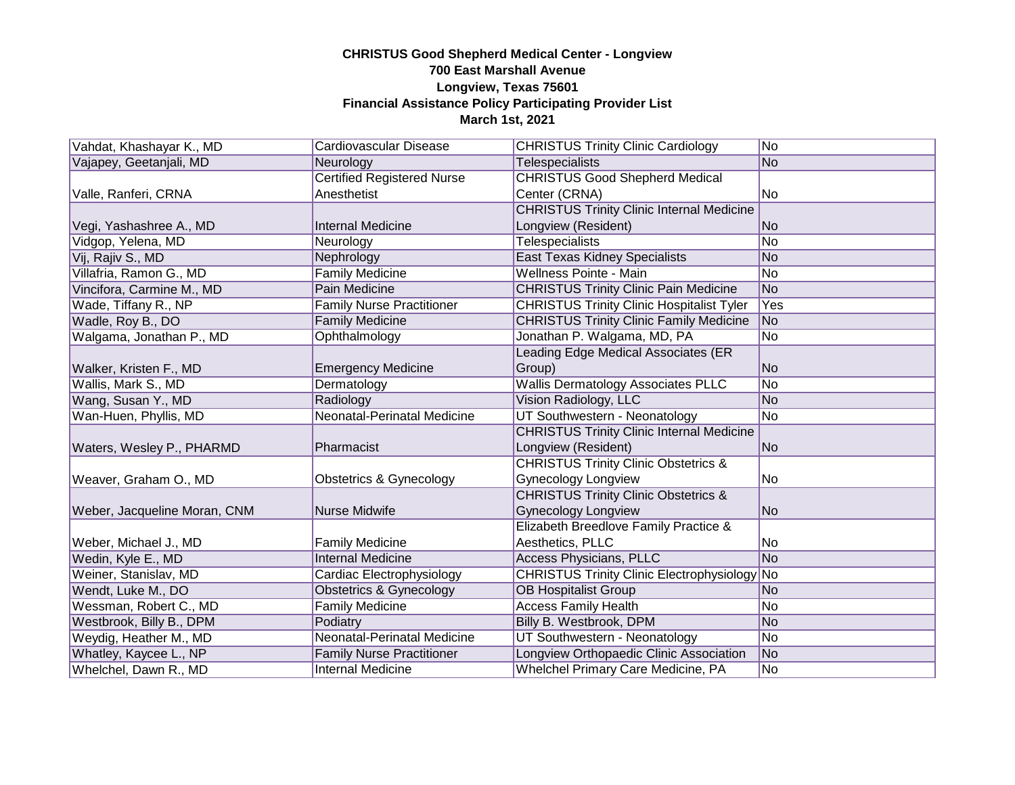| Vahdat, Khashayar K., MD     | Cardiovascular Disease            | <b>CHRISTUS Trinity Clinic Cardiology</b>           | No   |
|------------------------------|-----------------------------------|-----------------------------------------------------|------|
| Vajapey, Geetanjali, MD      | Neurology                         | <b>Telespecialists</b>                              | No   |
|                              | <b>Certified Registered Nurse</b> | <b>CHRISTUS Good Shepherd Medical</b>               |      |
| Valle, Ranferi, CRNA         | Anesthetist                       | Center (CRNA)                                       | No   |
|                              |                                   | <b>CHRISTUS Trinity Clinic Internal Medicine</b>    |      |
| Vegi, Yashashree A., MD      | <b>Internal Medicine</b>          | Longview (Resident)                                 | lNo. |
| Vidgop, Yelena, MD           | Neurology                         | Telespecialists                                     | No   |
| Vij, Rajiv S., MD            | Nephrology                        | <b>East Texas Kidney Specialists</b>                | No   |
| Villafria, Ramon G., MD      | <b>Family Medicine</b>            | Wellness Pointe - Main                              | No   |
| Vincifora, Carmine M., MD    | Pain Medicine                     | <b>CHRISTUS Trinity Clinic Pain Medicine</b>        | No   |
| Wade, Tiffany R., NP         | <b>Family Nurse Practitioner</b>  | <b>CHRISTUS Trinity Clinic Hospitalist Tyler</b>    | Yes  |
| Wadle, Roy B., DO            | <b>Family Medicine</b>            | <b>CHRISTUS Trinity Clinic Family Medicine</b>      | No   |
| Walgama, Jonathan P., MD     | Ophthalmology                     | Jonathan P. Walgama, MD, PA                         | No   |
|                              |                                   | Leading Edge Medical Associates (ER                 |      |
| Walker, Kristen F., MD       | <b>Emergency Medicine</b>         | Group)                                              | No   |
| Wallis, Mark S., MD          | Dermatology                       | <b>Wallis Dermatology Associates PLLC</b>           | No   |
| Wang, Susan Y., MD           | Radiology                         | Vision Radiology, LLC                               | No   |
| Wan-Huen, Phyllis, MD        | Neonatal-Perinatal Medicine       | UT Southwestern - Neonatology                       | No   |
|                              |                                   | <b>CHRISTUS Trinity Clinic Internal Medicine</b>    |      |
| Waters, Wesley P., PHARMD    | Pharmacist                        | Longview (Resident)                                 | No   |
|                              |                                   | <b>CHRISTUS Trinity Clinic Obstetrics &amp;</b>     |      |
| Weaver, Graham O., MD        | Obstetrics & Gynecology           | <b>Gynecology Longview</b>                          | No   |
|                              |                                   | <b>CHRISTUS Trinity Clinic Obstetrics &amp;</b>     |      |
| Weber, Jacqueline Moran, CNM | Nurse Midwife                     | <b>Gynecology Longview</b>                          | No   |
|                              |                                   | Elizabeth Breedlove Family Practice &               |      |
| Weber, Michael J., MD        | <b>Family Medicine</b>            | Aesthetics, PLLC                                    | No   |
| Wedin, Kyle E., MD           | <b>Internal Medicine</b>          | <b>Access Physicians, PLLC</b>                      | No   |
| Weiner, Stanislav, MD        | Cardiac Electrophysiology         | <b>CHRISTUS Trinity Clinic Electrophysiology No</b> |      |
| Wendt, Luke M., DO           | Obstetrics & Gynecology           | <b>OB Hospitalist Group</b>                         | lNo. |
| Wessman, Robert C., MD       | <b>Family Medicine</b>            | <b>Access Family Health</b>                         | No   |
| Westbrook, Billy B., DPM     | Podiatry                          | Billy B. Westbrook, DPM                             | No   |
| Weydig, Heather M., MD       | Neonatal-Perinatal Medicine       | UT Southwestern - Neonatology                       | No   |
| Whatley, Kaycee L., NP       | <b>Family Nurse Practitioner</b>  | Longview Orthopaedic Clinic Association             | No   |
| Whelchel, Dawn R., MD        | <b>Internal Medicine</b>          | Whelchel Primary Care Medicine, PA                  | No   |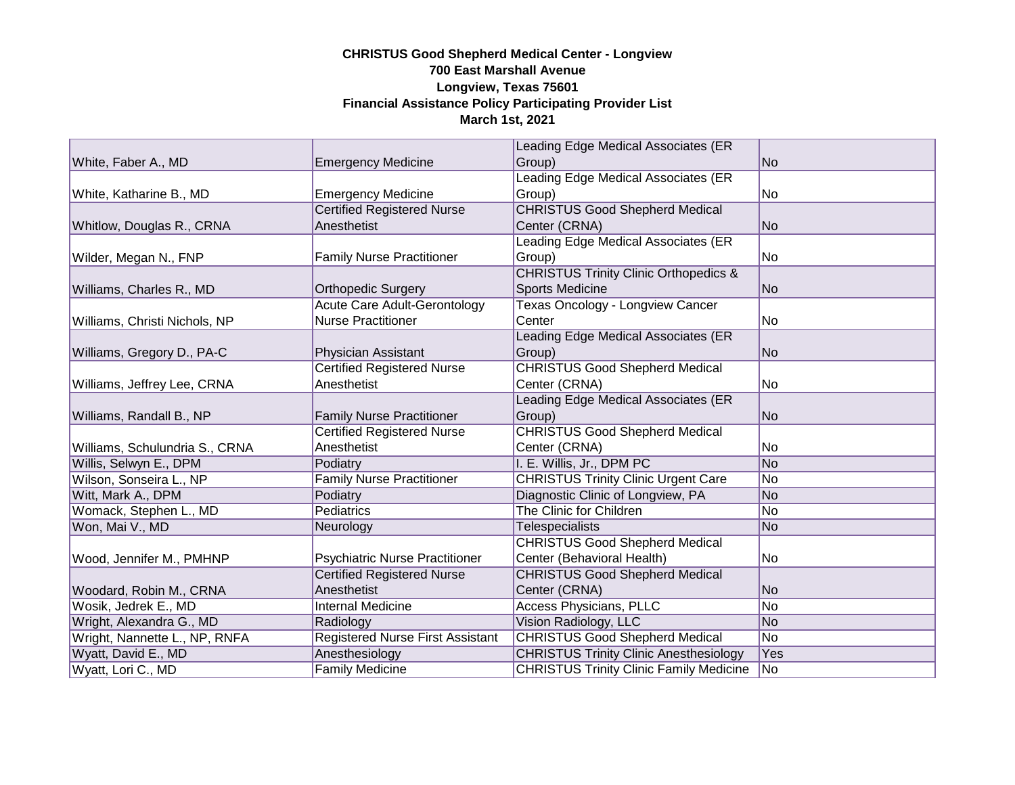|                                |                                         | Leading Edge Medical Associates (ER              |                |
|--------------------------------|-----------------------------------------|--------------------------------------------------|----------------|
| White, Faber A., MD            | <b>Emergency Medicine</b>               | Group)                                           | No.            |
|                                |                                         | Leading Edge Medical Associates (ER              |                |
| White, Katharine B., MD        | <b>Emergency Medicine</b>               | Group)                                           | No             |
|                                | <b>Certified Registered Nurse</b>       | <b>CHRISTUS Good Shepherd Medical</b>            |                |
| Whitlow, Douglas R., CRNA      | Anesthetist                             | Center (CRNA)                                    | No             |
|                                |                                         | Leading Edge Medical Associates (ER              |                |
| Wilder, Megan N., FNP          | <b>Family Nurse Practitioner</b>        | Group)                                           | No             |
|                                |                                         | <b>CHRISTUS Trinity Clinic Orthopedics &amp;</b> |                |
| Williams, Charles R., MD       | <b>Orthopedic Surgery</b>               | <b>Sports Medicine</b>                           | No             |
|                                | <b>Acute Care Adult-Gerontology</b>     | Texas Oncology - Longview Cancer                 |                |
| Williams, Christi Nichols, NP  | <b>Nurse Practitioner</b>               | Center                                           | No.            |
|                                |                                         | Leading Edge Medical Associates (ER              |                |
| Williams, Gregory D., PA-C     | Physician Assistant                     | Group)                                           | No             |
|                                | <b>Certified Registered Nurse</b>       | <b>CHRISTUS Good Shepherd Medical</b>            |                |
| Williams, Jeffrey Lee, CRNA    | Anesthetist                             | Center (CRNA)                                    | No             |
|                                |                                         | Leading Edge Medical Associates (ER              |                |
| Williams, Randall B., NP       | <b>Family Nurse Practitioner</b>        | Group)                                           | No             |
|                                | <b>Certified Registered Nurse</b>       | <b>CHRISTUS Good Shepherd Medical</b>            |                |
| Williams, Schulundria S., CRNA | Anesthetist                             | Center (CRNA)                                    | No             |
| Willis, Selwyn E., DPM         | Podiatry                                | I. E. Willis, Jr., DPM PC                        | No             |
| Wilson, Sonseira L., NP        | <b>Family Nurse Practitioner</b>        | <b>CHRISTUS Trinity Clinic Urgent Care</b>       | No             |
| Witt, Mark A., DPM             | Podiatry                                | Diagnostic Clinic of Longview, PA                | N <sub>o</sub> |
| Womack, Stephen L., MD         | <b>Pediatrics</b>                       | The Clinic for Children                          | No             |
| Won, Mai V., MD                | Neurology                               | Telespecialists                                  | <b>No</b>      |
|                                |                                         | <b>CHRISTUS Good Shepherd Medical</b>            |                |
| Wood, Jennifer M., PMHNP       | Psychiatric Nurse Practitioner          | Center (Behavioral Health)                       | No.            |
|                                | <b>Certified Registered Nurse</b>       | <b>CHRISTUS Good Shepherd Medical</b>            |                |
| Woodard, Robin M., CRNA        | Anesthetist                             | Center (CRNA)                                    | <b>No</b>      |
| Wosik, Jedrek E., MD           | <b>Internal Medicine</b>                | <b>Access Physicians, PLLC</b>                   | No             |
| Wright, Alexandra G., MD       | Radiology                               | Vision Radiology, LLC                            | No             |
| Wright, Nannette L., NP, RNFA  | <b>Registered Nurse First Assistant</b> | <b>CHRISTUS Good Shepherd Medical</b>            | No             |
| Wyatt, David E., MD            | Anesthesiology                          | <b>CHRISTUS Trinity Clinic Anesthesiology</b>    | Yes            |
| Wyatt, Lori C., MD             | <b>Family Medicine</b>                  | <b>CHRISTUS Trinity Clinic Family Medicine</b>   | No             |